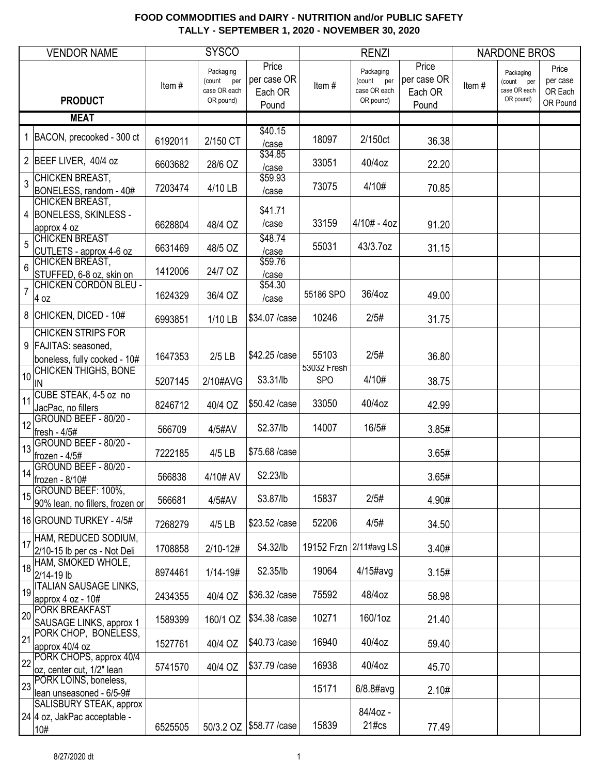|                | <b>VENDOR NAME</b>                                                   |         | <b>SYSCO</b>                                            |                                          |                      | <b>RENZI</b>                                         |                                          |       | <b>NARDONE BROS</b>                                  |                                          |
|----------------|----------------------------------------------------------------------|---------|---------------------------------------------------------|------------------------------------------|----------------------|------------------------------------------------------|------------------------------------------|-------|------------------------------------------------------|------------------------------------------|
|                | <b>PRODUCT</b>                                                       | Item#   | Packaging<br>(count<br>per<br>case OR each<br>OR pound) | Price<br>per case OR<br>Each OR<br>Pound | Item#                | Packaging<br>(count per<br>case OR each<br>OR pound) | Price<br>per case OR<br>Each OR<br>Pound | Item# | Packaging<br>(count per<br>case OR each<br>OR pound) | Price<br>per case<br>OR Each<br>OR Pound |
|                | <b>MEAT</b>                                                          |         |                                                         |                                          |                      |                                                      |                                          |       |                                                      |                                          |
|                | 1 BACON, precooked - 300 ct                                          | 6192011 | 2/150 CT                                                | \$40.15<br>/case                         | 18097                | 2/150ct                                              | 36.38                                    |       |                                                      |                                          |
|                | 2 BEEF LIVER, 40/4 oz                                                | 6603682 | 28/6 OZ                                                 | \$34.85<br>/case                         | 33051                | 40/4oz                                               | 22.20                                    |       |                                                      |                                          |
| $\overline{3}$ | CHICKEN BREAST,<br>BONELESS, random - 40#                            | 7203474 | 4/10 LB                                                 | \$59.93<br>/case                         | 73075                | 4/10#                                                | 70.85                                    |       |                                                      |                                          |
|                | CHICKEN BREAST,<br>4 BONELESS, SKINLESS -<br>approx 4 oz             | 6628804 | 48/4 OZ                                                 | \$41.71<br>/case                         | 33159                | $4/10# - 4oz$                                        | 91.20                                    |       |                                                      |                                          |
| 5              | <b>CHICKEN BREAST</b><br>CUTLETS - approx 4-6 oz                     | 6631469 | 48/5 OZ                                                 | \$48.74<br>/case<br>\$59.76              | 55031                | 43/3.7oz                                             | 31.15                                    |       |                                                      |                                          |
| 6              | CHICKEN BREAST,<br>STUFFED, 6-8 oz, skin on<br>CHICKEN CORDON BLEU - | 1412006 | 24/7 OZ                                                 | /case<br>\$54.30                         |                      |                                                      |                                          |       |                                                      |                                          |
| 7              | 4 oz                                                                 | 1624329 | 36/4 OZ                                                 | /case                                    | 55186 SPO            | 36/4oz                                               | 49.00                                    |       |                                                      |                                          |
|                | 8 CHICKEN, DICED - 10#<br><b>CHICKEN STRIPS FOR</b>                  | 6993851 | 1/10 LB                                                 | \$34.07 / case                           | 10246                | 2/5#                                                 | 31.75                                    |       |                                                      |                                          |
|                | 9   FAJITAS: seasoned,<br>boneless, fully cooked - 10#               | 1647353 | $2/5$ LB                                                | \$42.25 / case                           | 55103<br>53032 Fresh | 2/5#                                                 | 36.80                                    |       |                                                      |                                          |
| 10             | CHICKEN THIGHS, BONE<br>IN                                           | 5207145 | 2/10#AVG                                                | \$3.31/lb                                | <b>SPO</b>           | 4/10#                                                | 38.75                                    |       |                                                      |                                          |
| 11             | CUBE STEAK, 4-5 oz no<br>JacPac, no fillers                          | 8246712 | 40/4 OZ                                                 | \$50.42 /case                            | 33050                | 40/4oz                                               | 42.99                                    |       |                                                      |                                          |
| 12             | GROUND BEEF - 80/20 -<br>fresh - 4/5#                                | 566709  | 4/5#AV                                                  | \$2.37/lb                                | 14007                | 16/5#                                                | 3.85#                                    |       |                                                      |                                          |
| 13             | GROUND BEEF - 80/20 -<br>frozen - 4/5#                               | 7222185 | 4/5 LB                                                  | \$75.68 /case                            |                      |                                                      | 3.65#                                    |       |                                                      |                                          |
| 14             | GROUND BEEF - 80/20 -<br>frozen - 8/10#                              | 566838  | 4/10# AV                                                | \$2.23/lb                                |                      |                                                      | 3.65#                                    |       |                                                      |                                          |
| 15             | GROUND BEEF: 100%,<br>90% lean, no fillers, frozen or                | 566681  | 4/5#AV                                                  | \$3.87/lb                                | 15837                | 2/5#                                                 | 4.90#                                    |       |                                                      |                                          |
|                | 16 GROUND TURKEY - 4/5#<br>HAM, REDUCED SODIUM,                      | 7268279 | 4/5 LB                                                  | \$23.52 / case                           | 52206                | 4/5#                                                 | 34.50                                    |       |                                                      |                                          |
| 17             | 2/10-15 lb per cs - Not Deli<br>HAM, SMOKED WHOLE,                   | 1708858 | $2/10 - 12#$                                            | \$4.32/lb                                |                      | 19152 Frzn 2/11#avg LS                               | 3.40#                                    |       |                                                      |                                          |
| 18             | 2/14-19 lb<br>19   ITALIAN SAUSAGE LINKS,                            | 8974461 | $1/14 - 19#$                                            | \$2.35/lb                                | 19064                | $4/15$ #avg                                          | 3.15#                                    |       |                                                      |                                          |
|                | approx 4 oz - 10#<br><b>PORK BREAKFAST</b>                           | 2434355 | 40/4 OZ                                                 | \$36.32 / case                           | 75592                | 48/4oz                                               | 58.98                                    |       |                                                      |                                          |
| 20             | SAUSAGE LINKS, approx 1<br>PORK CHOP, BONELESS,                      | 1589399 | 160/1 OZ                                                | \$34.38 /case                            | 10271                | 160/1oz                                              | 21.40                                    |       |                                                      |                                          |
| 21             | approx 40/4 oz<br>PORK CHOPS, approx 40/4                            | 1527761 | 40/4 OZ                                                 | \$40.73 / case                           | 16940                | 40/4oz                                               | 59.40                                    |       |                                                      |                                          |
| 22             | oz, center cut, 1/2" lean<br>PORK LOINS, boneless,                   | 5741570 | 40/4 OZ                                                 | \$37.79 / case                           | 16938                | 40/4oz                                               | 45.70                                    |       |                                                      |                                          |
| 23             | lean unseasoned - 6/5-9#<br><b>SALISBURY STEAK, approx</b>           |         |                                                         |                                          | 15171                | $6/8.8$ #avg                                         | 2.10#                                    |       |                                                      |                                          |
|                | 24   4 oz, JakPac acceptable -<br>10#                                | 6525505 | 50/3.2 OZ                                               | \$58.77 / case                           | 15839                | 84/4oz -<br>$21\text{\#cs}$                          | 77.49                                    |       |                                                      |                                          |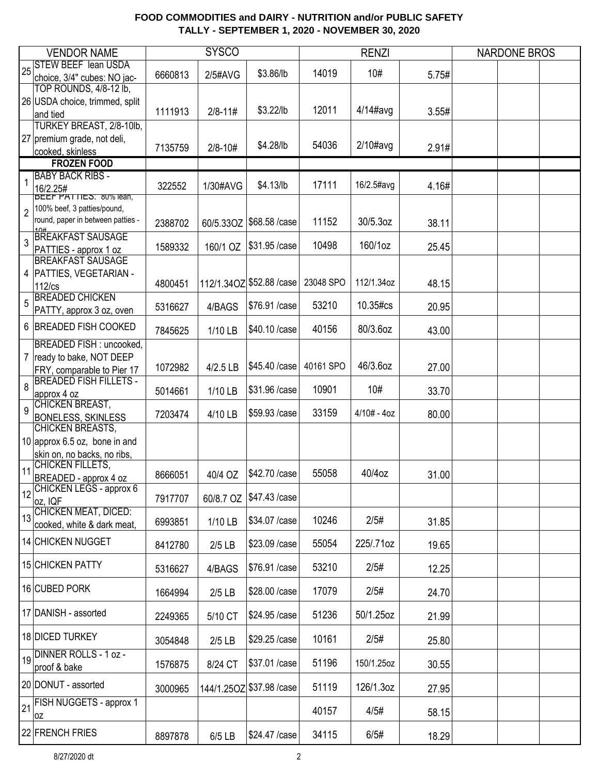|                | <b>VENDOR NAME</b>                                                                 |         | <b>SYSCO</b> |                           |           | <b>RENZI</b>  |       | <b>NARDONE BROS</b> |  |
|----------------|------------------------------------------------------------------------------------|---------|--------------|---------------------------|-----------|---------------|-------|---------------------|--|
| 25             | <b>STEW BEEF lean USDA</b><br>choice, 3/4" cubes: NO jac-                          | 6660813 | 2/5#AVG      | \$3.86/lb                 | 14019     | 10#           | 5.75# |                     |  |
|                | TOP ROUNDS, 4/8-12 lb,                                                             |         |              |                           |           |               |       |                     |  |
|                | 26 USDA choice, trimmed, split<br>and tied                                         | 1111913 | $2/8 - 11#$  | \$3.22/lb                 | 12011     | $4/14$ #avg   | 3.55# |                     |  |
|                | TURKEY BREAST, 2/8-10lb,                                                           |         |              |                           |           |               |       |                     |  |
|                | 27 premium grade, not deli,<br>cooked, skinless                                    | 7135759 | $2/8 - 10#$  | \$4.28/lb                 | 54036     | $2/10\#avg$   | 2.91# |                     |  |
|                | <b>FROZEN FOOD</b>                                                                 |         |              |                           |           |               |       |                     |  |
|                | <b>BABY BACK RIBS -</b>                                                            |         |              |                           |           |               |       |                     |  |
|                | 16/2.25#<br><b>BEEF PATTIES: 80% lean,</b>                                         | 322552  | 1/30#AVG     | \$4.13/lb                 | 17111     | 16/2.5#avg    | 4.16# |                     |  |
| $\overline{2}$ | 100% beef, 3 patties/pound,<br>round, paper in between patties -<br>1 <sup>0</sup> | 2388702 | 60/5.33OZ    | \$68.58 /case             | 11152     | 30/5.3oz      | 38.11 |                     |  |
| 3              | <b>BREAKFAST SAUSAGE</b><br>PATTIES - approx 1 oz                                  | 1589332 | 160/1 OZ     | \$31.95 /case             | 10498     | 160/1oz       | 25.45 |                     |  |
|                | <b>BREAKFAST SAUSAGE</b>                                                           |         |              |                           |           |               |       |                     |  |
|                | 4   PATTIES, VEGETARIAN -<br>$112$ / $cs$                                          | 4800451 |              | 112/1.34OZ \$52.88 / case | 23048 SPO | 112/1.34oz    | 48.15 |                     |  |
| 5              | <b>BREADED CHICKEN</b><br>PATTY, approx 3 oz, oven                                 | 5316627 | 4/BAGS       | \$76.91 /case             | 53210     | 10.35#cs      | 20.95 |                     |  |
|                | 6 BREADED FISH COOKED                                                              | 7845625 | 1/10 LB      | \$40.10 / case            | 40156     | 80/3.6oz      | 43.00 |                     |  |
|                | BREADED FISH : uncooked,                                                           |         |              |                           |           |               |       |                     |  |
|                | 7 ready to bake, NOT DEEP<br>FRY, comparable to Pier 17                            | 1072982 | 4/2.5 LB     | \$45.40 /case             | 40161 SPO | 46/3.6oz      | 27.00 |                     |  |
| 8              | <b>BREADED FISH FILLETS -</b><br>approx 4 oz                                       | 5014661 | 1/10 LB      | \$31.96 / case            | 10901     | 10#           | 33.70 |                     |  |
| 9              | <b>CHICKEN BREAST,</b><br><b>BONELESS, SKINLESS</b>                                | 7203474 | 4/10 LB      | \$59.93 /case             | 33159     | $4/10# - 4oz$ | 80.00 |                     |  |
|                | CHICKEN BREASTS,<br>10 approx 6.5 oz, bone in and                                  |         |              |                           |           |               |       |                     |  |
|                | skin on, no backs, no ribs,                                                        |         |              |                           |           |               |       |                     |  |
| 11             | CHICKEN FILLETS,<br>BREADED - approx 4 oz                                          | 8666051 | 40/4 OZ      | \$42.70 / case            | 55058     | 40/4oz        | 31.00 |                     |  |
|                | 12 CHICKEN LEGS - approx 6<br>oz, IQF                                              | 7917707 | 60/8.7 OZ    | \$47.43 /case             |           |               |       |                     |  |
|                | 13 CHICKEN MEAT, DICED:<br>cooked, white & dark meat,                              | 6993851 | 1/10 LB      | \$34.07 / case            | 10246     | 2/5#          | 31.85 |                     |  |
|                | 14 CHICKEN NUGGET                                                                  | 8412780 | $2/5$ LB     | \$23.09 / case            | 55054     | 225/.71oz     | 19.65 |                     |  |
|                | <b>15 CHICKEN PATTY</b>                                                            | 5316627 | 4/BAGS       | \$76.91 /case             | 53210     | 2/5#          | 12.25 |                     |  |
|                | 16 CUBED PORK                                                                      | 1664994 | $2/5$ LB     | \$28.00 / case            | 17079     | 2/5#          | 24.70 |                     |  |
|                | 17 DANISH - assorted                                                               | 2249365 | 5/10 CT      | \$24.95 /case             | 51236     | 50/1.25oz     | 21.99 |                     |  |
|                | 18 DICED TURKEY                                                                    | 3054848 | $2/5$ LB     | \$29.25 / case            | 10161     | 2/5#          | 25.80 |                     |  |
|                | 19 DINNER ROLLS - 1 oz -<br>proof & bake                                           | 1576875 | 8/24 CT      | \$37.01 /case             | 51196     | 150/1.25oz    | 30.55 |                     |  |
|                | 20 DONUT - assorted                                                                | 3000965 |              | 144/1.25OZ \$37.98 / case | 51119     | 126/1.3oz     | 27.95 |                     |  |
| 21             | <b>FISH NUGGETS - approx 1</b><br>loz                                              |         |              |                           | 40157     | 4/5#          | 58.15 |                     |  |
|                | 22 FRENCH FRIES                                                                    | 8897878 | 6/5 LB       | \$24.47 / case            | 34115     | 6/5#          | 18.29 |                     |  |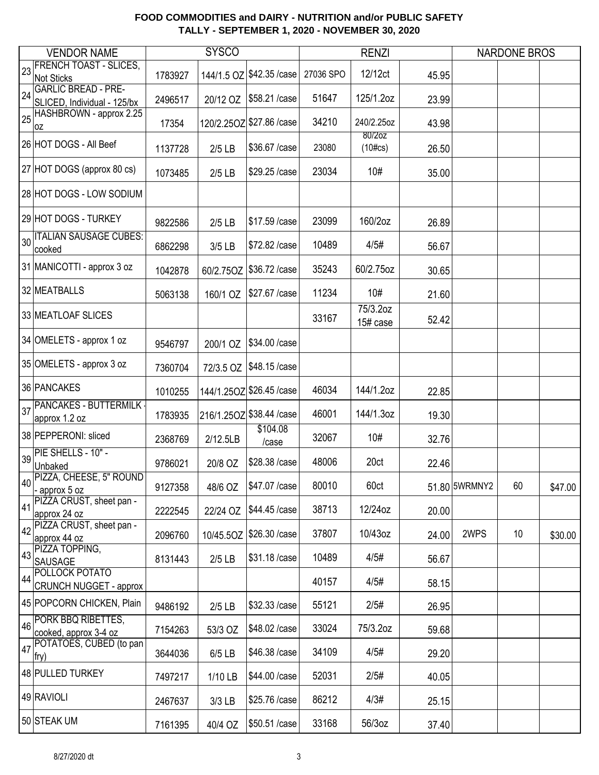|    | <b>VENDOR NAME</b>                    |         | <b>SYSCO</b> |                           |           | <b>RENZI</b> |       |               | <b>NARDONE BROS</b> |         |
|----|---------------------------------------|---------|--------------|---------------------------|-----------|--------------|-------|---------------|---------------------|---------|
|    | <b>FRENCH TOAST - SLICES,</b>         |         |              |                           |           |              |       |               |                     |         |
| 23 | <b>Not Sticks</b>                     | 1783927 | 144/1.5 OZ   | \$42.35 / case            | 27036 SPO | 12/12ct      | 45.95 |               |                     |         |
|    | <b>GARLIC BREAD - PRE-</b>            |         |              |                           |           |              |       |               |                     |         |
| 24 | SLICED, Individual - 125/bx           | 2496517 | 20/12 OZ     | \$58.21 /case             | 51647     | 125/1.2oz    | 23.99 |               |                     |         |
| 25 | HASHBROWN - approx 2.25               |         |              |                           |           |              |       |               |                     |         |
|    | 0Z                                    | 17354   |              | 120/2.25OZ \$27.86 / case | 34210     | 240/2.25oz   | 43.98 |               |                     |         |
|    | 26 HOT DOGS - All Beef                |         |              |                           |           | 80/2oz       |       |               |                     |         |
|    |                                       | 1137728 | $2/5$ LB     | \$36.67 / case            | 23080     | $(10\#cs)$   | 26.50 |               |                     |         |
|    | 27 HOT DOGS (approx 80 cs)            |         |              |                           |           |              |       |               |                     |         |
|    |                                       | 1073485 | $2/5$ LB     | \$29.25 / case            | 23034     | 10#          | 35.00 |               |                     |         |
|    | 28 HOT DOGS - LOW SODIUM              |         |              |                           |           |              |       |               |                     |         |
|    |                                       |         |              |                           |           |              |       |               |                     |         |
|    | 29 HOT DOGS - TURKEY                  |         |              | \$17.59 / case            | 23099     | 160/2oz      |       |               |                     |         |
|    |                                       | 9822586 | $2/5$ LB     |                           |           |              | 26.89 |               |                     |         |
|    | 30 ITALIAN SAUSAGE CUBES:             | 6862298 | 3/5 LB       | \$72.82 / case            | 10489     | 4/5#         | 56.67 |               |                     |         |
|    | cooked                                |         |              |                           |           |              |       |               |                     |         |
|    | 31 MANICOTTI - approx 3 oz            | 1042878 | 60/2.75OZ    | \$36.72 / case            | 35243     | 60/2.75oz    | 30.65 |               |                     |         |
|    |                                       |         |              |                           |           |              |       |               |                     |         |
|    | 32 MEATBALLS                          | 5063138 | 160/1 OZ     | \$27.67 / case            | 11234     | 10#          | 21.60 |               |                     |         |
|    |                                       |         |              |                           |           | 75/3.2oz     |       |               |                     |         |
|    | 33 MEATLOAF SLICES                    |         |              |                           | 33167     | 15# case     | 52.42 |               |                     |         |
|    |                                       |         |              |                           |           |              |       |               |                     |         |
|    | 34 OMELETS - approx 1 oz              | 9546797 | 200/1 OZ     | \$34.00 / case            |           |              |       |               |                     |         |
|    |                                       |         |              |                           |           |              |       |               |                     |         |
|    | 35 OMELETS - approx 3 oz              | 7360704 | 72/3.5 OZ    | \$48.15 /case             |           |              |       |               |                     |         |
|    | 36 PANCAKES                           |         |              |                           |           |              |       |               |                     |         |
|    |                                       | 1010255 |              | 144/1.25OZ \$26.45 / case | 46034     | 144/1.2oz    | 22.85 |               |                     |         |
| 37 | PANCAKES - BUTTERMILK -               |         |              |                           | 46001     | 144/1.3oz    |       |               |                     |         |
|    | approx 1.2 oz                         | 1783935 |              | 216/1.25OZ \$38.44 / case |           |              | 19.30 |               |                     |         |
|    | 38 PEPPERONI: sliced                  | 2368769 | 2/12.5LB     | \$104.08                  | 32067     | 10#          | 32.76 |               |                     |         |
|    |                                       |         |              | /case                     |           |              |       |               |                     |         |
| 39 | PIE SHELLS - 10" -                    | 9786021 | 20/8 OZ      | \$28.38 / case            | 48006     | 20ct         | 22.46 |               |                     |         |
|    | Unbaked<br>40 PIZZA, CHEESE, 5" ROUND |         |              |                           |           |              |       |               |                     |         |
|    | - approx 5 oz                         | 9127358 | 48/6 OZ      | \$47.07 / case            | 80010     | 60ct         |       | 51.80 5WRMNY2 | 60                  | \$47.00 |
|    | PIZZA CRUST, sheet pan -              |         |              |                           |           |              |       |               |                     |         |
| 41 | approx 24 oz                          | 2222545 | 22/24 OZ     | \$44.45 /case             | 38713     | 12/24oz      | 20.00 |               |                     |         |
|    | PIZZA CRUST, sheet pan -              |         |              |                           |           |              |       |               |                     |         |
| 42 | approx 44 oz                          | 2096760 | 10/45.5OZ    | \$26.30 / case            | 37807     | 10/43oz      | 24.00 | 2WPS          | 10                  | \$30.00 |
| 43 | PIZZA TOPPING,                        |         |              |                           |           |              |       |               |                     |         |
|    | <b>SAUSAGE</b>                        | 8131443 | $2/5$ LB     | \$31.18 /case             | 10489     | 4/5#         | 56.67 |               |                     |         |
| 44 | POLLOCK POTATO                        |         |              |                           | 40157     | 4/5#         |       |               |                     |         |
|    | <b>CRUNCH NUGGET - approx</b>         |         |              |                           |           |              | 58.15 |               |                     |         |
|    | 45 POPCORN CHICKEN, Plain             | 9486192 | $2/5$ LB     | \$32.33 /case             | 55121     | 2/5#         | 26.95 |               |                     |         |
|    | PORK BBQ RIBETTES,                    |         |              |                           |           |              |       |               |                     |         |
| 46 | cooked, approx 3-4 oz                 | 7154263 | 53/3 OZ      | \$48.02 / case            | 33024     | 75/3.2oz     | 59.68 |               |                     |         |
|    | POTATOES, CUBED (to pan               |         |              |                           |           |              |       |               |                     |         |
| 47 | fry)                                  | 3644036 | 6/5 LB       | \$46.38 /case             | 34109     | 4/5#         | 29.20 |               |                     |         |
|    |                                       |         |              |                           |           |              |       |               |                     |         |
|    | 48 PULLED TURKEY                      | 7497217 | 1/10 LB      | \$44.00 / case            | 52031     | 2/5#         | 40.05 |               |                     |         |
|    | 49 RAVIOLI                            |         |              |                           |           |              |       |               |                     |         |
|    |                                       | 2467637 | 3/3 LB       | \$25.76 / case            | 86212     | 4/3#         | 25.15 |               |                     |         |
|    | 50 STEAK UM                           |         |              |                           | 33168     | 56/3oz       |       |               |                     |         |
|    |                                       | 7161395 | 40/4 OZ      | \$50.51 /case             |           |              | 37.40 |               |                     |         |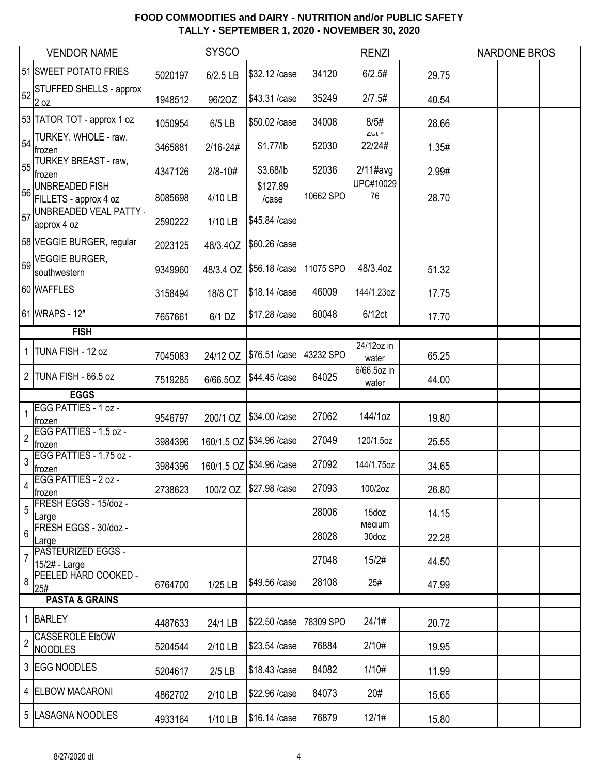|                | <b>VENDOR NAME</b>                                      |         | <b>SYSCO</b> |                           |           | <b>RENZI</b>                    |       | <b>NARDONE BROS</b> |  |
|----------------|---------------------------------------------------------|---------|--------------|---------------------------|-----------|---------------------------------|-------|---------------------|--|
|                | 51 SWEET POTATO FRIES                                   | 5020197 | $6/2.5$ LB   | \$32.12 / case            | 34120     | 6/2.5#                          | 29.75 |                     |  |
| 52             | <b>STUFFED SHELLS - approx</b><br>2 oz                  | 1948512 | 96/20Z       | \$43.31 /case             | 35249     | 2/7.5#                          | 40.54 |                     |  |
|                | 53 TATOR TOT - approx 1 oz                              | 1050954 | 6/5 LB       | \$50.02 / case            | 34008     | 8/5#                            | 28.66 |                     |  |
|                | 54 TURKEY, WHOLE - raw,<br>frozen                       | 3465881 | $2/16 - 24#$ | $$1.77$ /lb               | 52030     | $ZCI =$<br>22/24#               | 1.35# |                     |  |
| 55             | <b>TURKEY BREAST - raw,</b><br>frozen<br>UNBREADED FISH | 4347126 | $2/8 - 10#$  | \$3.68/lb<br>\$127.89     | 52036     | $2/11$ #avg<br><b>UPC#10029</b> | 2.99# |                     |  |
| 56             | FILLETS - approx 4 oz                                   | 8085698 | 4/10 LB      | /case                     | 10662 SPO | 76                              | 28.70 |                     |  |
| 57             | <b>UNBREADED VEAL PATTY -</b><br>approx 4 oz            | 2590222 | 1/10 LB      | \$45.84 /case             |           |                                 |       |                     |  |
|                | 58 VEGGIE BURGER, regular                               | 2023125 | 48/3.4OZ     | \$60.26 /case             |           |                                 |       |                     |  |
| 59             | <b>VEGGIE BURGER,</b><br>southwestern                   | 9349960 | 48/3.4 OZ    | \$56.18 /case             | 11075 SPO | 48/3.4oz                        | 51.32 |                     |  |
|                | 60 WAFFLES                                              | 3158494 | 18/8 CT      | \$18.14 /case             | 46009     | 144/1.23oz                      | 17.75 |                     |  |
|                | 61 WRAPS - 12"                                          | 7657661 | 6/1 DZ       | \$17.28 / case            | 60048     | 6/12ct                          | 17.70 |                     |  |
|                | <b>FISH</b>                                             |         |              |                           |           |                                 |       |                     |  |
|                | 1 TUNA FISH - 12 oz                                     | 7045083 | 24/12 OZ     | \$76.51 /case             | 43232 SPO | 24/12oz in<br>water             | 65.25 |                     |  |
|                | 2 TUNA FISH - 66.5 oz                                   | 7519285 | 6/66.5OZ     | \$44.45 /case             | 64025     | 6/66.5oz in<br>water            | 44.00 |                     |  |
|                | <b>EGGS</b>                                             |         |              |                           |           |                                 |       |                     |  |
| 1              | EGG PATTIES - 1 oz -<br>frozen                          | 9546797 | 200/1 OZ     | \$34.00 / case            | 27062     | 144/1oz                         | 19.80 |                     |  |
| $\overline{c}$ | EGG PATTIES - 1.5 oz -<br>frozen                        | 3984396 |              | 160/1.5 OZ \$34.96 / case | 27049     | 120/1.5oz                       | 25.55 |                     |  |
| 3              | EGG PATTIES - 1.75 oz -<br> frozen                      | 3984396 |              | 160/1.5 OZ \$34.96 / case | 27092     | 144/1.75oz                      | 34.65 |                     |  |
| 4              | EGG PATTIES - 2 oz -<br>frozen                          | 2738623 | 100/2 OZ     | \$27.98 / case            | 27093     | 100/2oz                         | 26.80 |                     |  |
| 5              | FRESH EGGS - 15/doz -<br>Large                          |         |              |                           | 28006     | 15doz                           | 14.15 |                     |  |
| 6              | FRESH EGGS - 30/doz -<br>Large                          |         |              |                           | 28028     | Medium<br>30doz                 | 22.28 |                     |  |
| 7              | PASTEURIZED EGGS -<br>15/2# - Large                     |         |              |                           | 27048     | 15/2#                           | 44.50 |                     |  |
| 8              | PEELED HARD COOKED -<br>25#                             | 6764700 | 1/25 LB      | \$49.56 /case             | 28108     | 25#                             | 47.99 |                     |  |
|                | <b>PASTA &amp; GRAINS</b>                               |         |              |                           |           |                                 |       |                     |  |
|                | 1 BARLEY                                                | 4487633 | 24/1 LB      | \$22.50 /case             | 78309 SPO | 24/1#                           | 20.72 |                     |  |
| $\overline{2}$ | CASSEROLE EIbOW<br><b>NOODLES</b>                       | 5204544 | 2/10 LB      | \$23.54 /case             | 76884     | 2/10#                           | 19.95 |                     |  |
|                | 3 EGG NOODLES                                           | 5204617 | $2/5$ LB     | \$18.43 /case             | 84082     | 1/10#                           | 11.99 |                     |  |
|                | 4 ELBOW MACARONI                                        | 4862702 | 2/10 LB      | \$22.96 /case             | 84073     | 20#                             | 15.65 |                     |  |
|                | 5  LASAGNA NOODLES                                      | 4933164 | 1/10 LB      | \$16.14 / case            | 76879     | 12/1#                           | 15.80 |                     |  |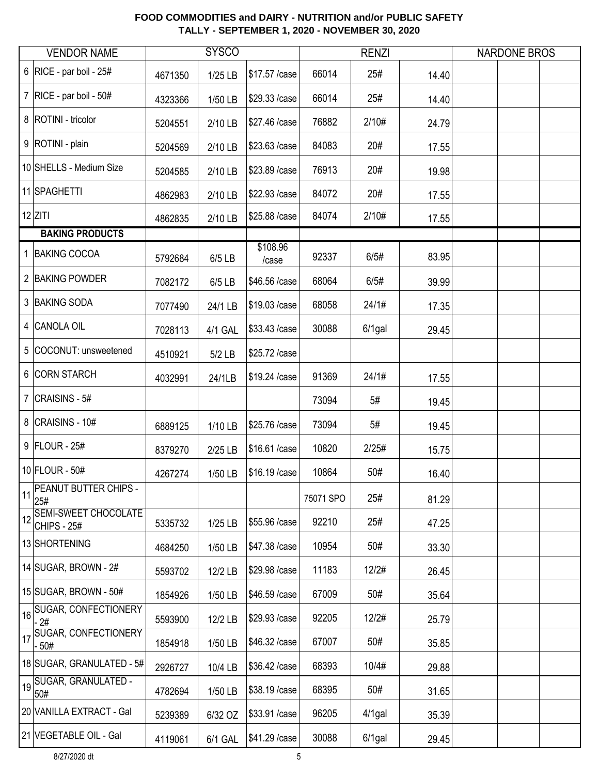|    | <b>VENDOR NAME</b>                                |         | <b>SYSCO</b> |                   |           | <b>RENZI</b> |       | <b>NARDONE BROS</b> |  |
|----|---------------------------------------------------|---------|--------------|-------------------|-----------|--------------|-------|---------------------|--|
|    | 6   RICE - par boil - $25#$                       | 4671350 | 1/25 LB      | \$17.57 / case    | 66014     | 25#          | 14.40 |                     |  |
|    | 7   RICE - par boil - $50#$                       | 4323366 | 1/50 LB      | \$29.33 /case     | 66014     | 25#          | 14.40 |                     |  |
|    | 8   ROTINI - tricolor                             | 5204551 | 2/10 LB      | \$27.46 /case     | 76882     | 2/10#        | 24.79 |                     |  |
|    | 9   ROTINI - plain                                | 5204569 | 2/10 LB      | \$23.63 / case    | 84083     | 20#          | 17.55 |                     |  |
|    | 10 SHELLS - Medium Size                           | 5204585 | 2/10 LB      | \$23.89 / case    | 76913     | 20#          | 19.98 |                     |  |
|    | 11 SPAGHETTI                                      | 4862983 | 2/10 LB      | \$22.93 / case    | 84072     | 20#          | 17.55 |                     |  |
|    | $12$ ZITI                                         | 4862835 | 2/10 LB      | \$25.88 /case     | 84074     | 2/10#        | 17.55 |                     |  |
|    | <b>BAKING PRODUCTS</b>                            |         |              |                   |           |              |       |                     |  |
|    | 1 BAKING COCOA                                    | 5792684 | 6/5 LB       | \$108.96<br>/case | 92337     | 6/5#         | 83.95 |                     |  |
|    | 2 BAKING POWDER                                   | 7082172 | 6/5 LB       | \$46.56 /case     | 68064     | 6/5#         | 39.99 |                     |  |
|    | 3 BAKING SODA                                     | 7077490 | 24/1 LB      | \$19.03 / case    | 68058     | 24/1#        | 17.35 |                     |  |
|    | 4 CANOLA OIL                                      | 7028113 | 4/1 GAL      | \$33.43 /case     | 30088     | $6/1$ gal    | 29.45 |                     |  |
|    | 5 COCONUT: unsweetened                            | 4510921 | $5/2$ LB     | \$25.72 / case    |           |              |       |                     |  |
|    | 6 CORN STARCH                                     | 4032991 | 24/1LB       | \$19.24 /case     | 91369     | 24/1#        | 17.55 |                     |  |
|    | 7 $ CRAISINS - 5#$                                |         |              |                   | 73094     | 5#           | 19.45 |                     |  |
|    | 8 CRAISINS - 10#                                  | 6889125 | 1/10 LB      | \$25.76 /case     | 73094     | 5#           | 19.45 |                     |  |
|    | 9   FLOUR - 25#                                   | 8379270 | 2/25 LB      | \$16.61 /case     | 10820     | 2/25#        | 15.75 |                     |  |
|    | 10 FLOUR - 50#                                    | 4267274 | 1/50 LB      | \$16.19 / case    | 10864     | 50#          | 16.40 |                     |  |
|    | 11 PEANUT BUTTER CHIPS -<br>25#                   |         |              |                   | 75071 SPO | 25#          | 81.29 |                     |  |
| 12 | <b>SEMI-SWEET CHOCOLATE</b><br><b>CHIPS - 25#</b> | 5335732 | 1/25 LB      | \$55.96 /case     | 92210     | 25#          | 47.25 |                     |  |
|    | 13 SHORTENING                                     | 4684250 | 1/50 LB      | \$47.38 / case    | 10954     | 50#          | 33.30 |                     |  |
|    | 14 SUGAR, BROWN - $2#$                            | 5593702 | 12/2 LB      | \$29.98 / case    | 11183     | 12/2#        | 26.45 |                     |  |
|    | 15 SUGAR, BROWN - 50#                             | 1854926 | 1/50 LB      | \$46.59 / case    | 67009     | 50#          | 35.64 |                     |  |
|    | 16 SUGAR, CONFECTIONERY<br>- 2#                   | 5593900 | 12/2 LB      | \$29.93 /case     | 92205     | 12/2#        | 25.79 |                     |  |
|    | 17 SUGAR, CONFECTIONERY<br>- 50#                  | 1854918 | 1/50 LB      | \$46.32 / case    | 67007     | 50#          | 35.85 |                     |  |
|    | 18 SUGAR, GRANULATED - 5#                         | 2926727 | 10/4 LB      | \$36.42 / case    | 68393     | 10/4#        | 29.88 |                     |  |
|    | 19 SUGAR, GRANULATED -<br>50#                     | 4782694 | 1/50 LB      | \$38.19 / case    | 68395     | 50#          | 31.65 |                     |  |
|    | 20 VANILLA EXTRACT - Gal                          | 5239389 | 6/32 OZ      | \$33.91 /case     | 96205     | $4/1$ gal    | 35.39 |                     |  |
|    | 21 VEGETABLE OIL - Gal                            | 4119061 | 6/1 GAL      | \$41.29 / case    | 30088     | $6/1$ gal    | 29.45 |                     |  |

8/27/2020 dt 5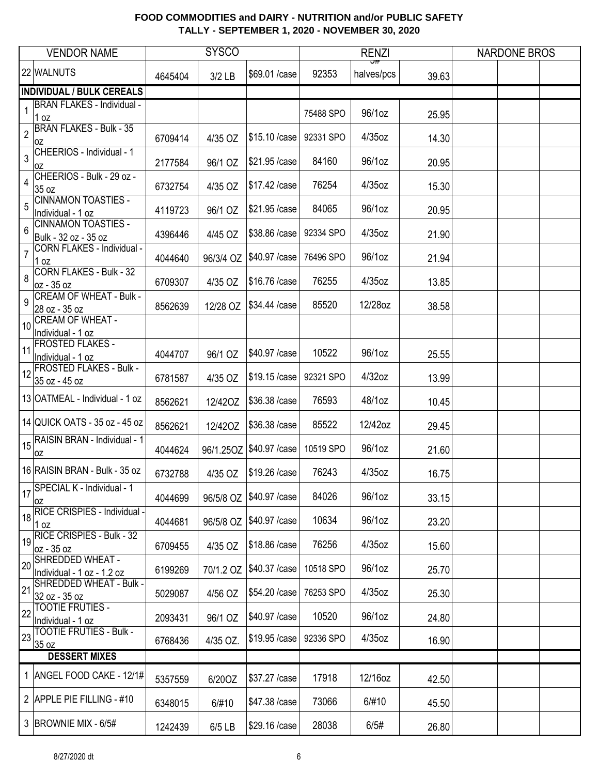|                | <b>VENDOR NAME</b>                                 |         | <b>SYSCO</b> |                            |           | <b>RENZI</b>      |       | <b>NARDONE BROS</b> |  |
|----------------|----------------------------------------------------|---------|--------------|----------------------------|-----------|-------------------|-------|---------------------|--|
|                | 22 WALNUTS                                         | 4645404 | 3/2 LB       | \$69.01 /case              | 92353     | ज्र<br>halves/pcs | 39.63 |                     |  |
|                | <b>INDIVIDUAL / BULK CEREALS</b>                   |         |              |                            |           |                   |       |                     |  |
| 1              | <b>BRAN FLAKES - Individual -</b><br>1 oz          |         |              |                            | 75488 SPO | 96/1oz            | 25.95 |                     |  |
| $\sqrt{2}$     | <b>BRAN FLAKES - Bulk - 35</b><br>0Z               | 6709414 | 4/35 OZ      | \$15.10 / case             | 92331 SPO | 4/35oz            | 14.30 |                     |  |
| 3              | CHEERIOS - Individual - 1<br>0Z                    | 2177584 | 96/1 OZ      | \$21.95 / case             | 84160     | 96/1oz            | 20.95 |                     |  |
| 4              | CHEERIOS - Bulk - 29 oz -<br>35 oz                 | 6732754 | 4/35 OZ      | \$17.42 / case             | 76254     | 4/35oz            | 15.30 |                     |  |
| 5              | <b>CINNAMON TOASTIES -</b><br>Individual - 1 oz    | 4119723 | 96/1 OZ      | \$21.95 / case             | 84065     | 96/1oz            | 20.95 |                     |  |
| 6              | <b>CINNAMON TOASTIES -</b><br>Bulk - 32 oz - 35 oz | 4396446 | 4/45 OZ      | \$38.86 / case             | 92334 SPO | 4/35oz            | 21.90 |                     |  |
| $\overline{7}$ | <b>CORN FLAKES - Individual -</b><br>1 oz          | 4044640 | 96/3/4 OZ    | \$40.97 / case             | 76496 SPO | 96/1oz            | 21.94 |                     |  |
| 8              | <b>CORN FLAKES - Bulk - 32</b><br>oz - 35 oz       | 6709307 | 4/35 OZ      | \$16.76 / case             | 76255     | 4/35oz            | 13.85 |                     |  |
| 9              | <b>CREAM OF WHEAT - Bulk -</b><br>28 oz - 35 oz    | 8562639 | 12/28 OZ     | \$34.44 /case              | 85520     | 12/28oz           | 38.58 |                     |  |
| 10             | <b>CREAM OF WHEAT -</b><br>Individual - 1 oz       |         |              |                            |           |                   |       |                     |  |
| 11             | <b>FROSTED FLAKES -</b><br>Individual - 1 oz       | 4044707 | 96/1 OZ      | \$40.97 / case             | 10522     | 96/1oz            | 25.55 |                     |  |
| 12             | <b>FROSTED FLAKES - Bulk -</b><br>35 oz - 45 oz    | 6781587 | 4/35 OZ      | \$19.15 / case             | 92321 SPO | $4/32$ oz         | 13.99 |                     |  |
|                | 13 OATMEAL - Individual - 1 oz                     | 8562621 | 12/420Z      | \$36.38 / case             | 76593     | 48/1oz            | 10.45 |                     |  |
|                | 14 QUICK OATS - 35 oz - 45 oz                      | 8562621 | 12/420Z      | \$36.38 / case             | 85522     | 12/42oz           | 29.45 |                     |  |
|                | 15 RAISIN BRAN - Individual - 1<br>OZ              | 4044624 |              | 96/1.25OZ   \$40.97 / case | 10519 SPO | 96/1oz            | 21.60 |                     |  |
|                | 16 RAISIN BRAN - Bulk - 35 oz                      | 6732788 | 4/35 OZ      | \$19.26 /case              | 76243     | 4/35oz            | 16.75 |                     |  |
|                | 17 SPECIAL K - Individual - 1<br> OZ               | 4044699 | 96/5/8 OZ    | \$40.97 /case              | 84026     | 96/1oz            | 33.15 |                     |  |
| 18             | RICE CRISPIES - Individual -<br>1 <sub>oz</sub>    | 4044681 | 96/5/8 OZ    | \$40.97 / case             | 10634     | 96/1oz            | 23.20 |                     |  |
| 19             | <b>RICE CRISPIES - Bulk - 32</b><br>oz - 35 oz     | 6709455 | 4/35 OZ      | \$18.86 / case             | 76256     | 4/35oz            | 15.60 |                     |  |
| 20             | SHREDDED WHEAT -<br>Individual - 1 oz - 1.2 oz     | 6199269 | 70/1.2 OZ    | \$40.37 / case             | 10518 SPO | 96/1oz            | 25.70 |                     |  |
| 21             | SHREDDED WHEAT - Bulk -<br>32 oz - 35 oz           | 5029087 | 4/56 OZ      | \$54.20 / case             | 76253 SPO | 4/35oz            | 25.30 |                     |  |
| 22             | <b>TOOTIE FRUTIES -</b><br>Individual - 1 oz       | 2093431 | 96/1 OZ      | \$40.97 / case             | 10520     | 96/1oz            | 24.80 |                     |  |
| 23             | <b>TOOTIE FRUTIES - Bulk -</b><br>35 oz            | 6768436 | 4/35 OZ.     | \$19.95 / case             | 92336 SPO | 4/35oz            | 16.90 |                     |  |
|                | <b>DESSERT MIXES</b>                               |         |              |                            |           |                   |       |                     |  |
|                | 1 ANGEL FOOD CAKE - 12/1#                          | 5357559 | 6/20OZ       | \$37.27 / case             | 17918     | 12/16oz           | 42.50 |                     |  |
|                | 2 APPLE PIE FILLING - #10                          | 6348015 | 6/#10        | \$47.38 / case             | 73066     | 6/#10             | 45.50 |                     |  |
|                | 3   BROWNIE MIX - 6/5#                             | 1242439 | 6/5 LB       | \$29.16 /case              | 28038     | 6/5#              | 26.80 |                     |  |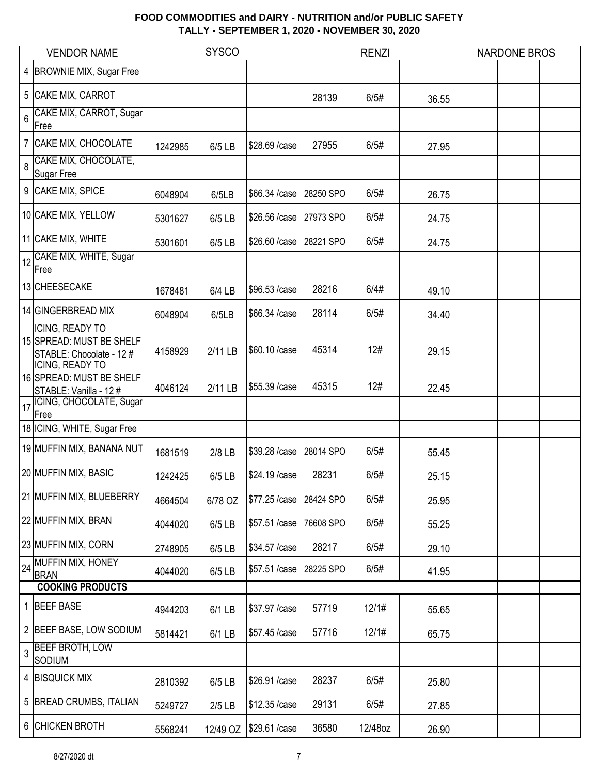|   | <b>VENDOR NAME</b>                                                                                         |         | <b>SYSCO</b> |                |           | <b>RENZI</b> |       | <b>NARDONE BROS</b> |  |
|---|------------------------------------------------------------------------------------------------------------|---------|--------------|----------------|-----------|--------------|-------|---------------------|--|
|   | 4 BROWNIE MIX, Sugar Free                                                                                  |         |              |                |           |              |       |                     |  |
|   | 5 CAKE MIX, CARROT                                                                                         |         |              |                | 28139     | 6/5#         | 36.55 |                     |  |
| 6 | CAKE MIX, CARROT, Sugar<br>Free                                                                            |         |              |                |           |              |       |                     |  |
|   | 7 CAKE MIX, CHOCOLATE                                                                                      | 1242985 | 6/5 LB       | \$28.69 / case | 27955     | 6/5#         | 27.95 |                     |  |
|   | 8 CAKE MIX, CHOCOLATE,<br>Sugar Free                                                                       |         |              |                |           |              |       |                     |  |
|   | 9 CAKE MIX, SPICE                                                                                          | 6048904 | 6/5LB        | \$66.34 /case  | 28250 SPO | 6/5#         | 26.75 |                     |  |
|   | 10 CAKE MIX, YELLOW                                                                                        | 5301627 | 6/5 LB       | \$26.56 /case  | 27973 SPO | 6/5#         | 24.75 |                     |  |
|   | 11 CAKE MIX, WHITE                                                                                         | 5301601 | 6/5 LB       | \$26.60 / case | 28221 SPO | 6/5#         | 24.75 |                     |  |
|   | 12 CAKE MIX, WHITE, Sugar<br>Free                                                                          |         |              |                |           |              |       |                     |  |
|   | 13 CHEESECAKE                                                                                              | 1678481 | 6/4 LB       | \$96.53 /case  | 28216     | 6/4#         | 49.10 |                     |  |
|   | 14 GINGERBREAD MIX                                                                                         | 6048904 | 6/5LB        | \$66.34 /case  | 28114     | 6/5#         | 34.40 |                     |  |
|   | <b>ICING, READY TO</b><br>15 SPREAD: MUST BE SHELF<br>STABLE: Chocolate - 12 #                             | 4158929 | 2/11 LB      | \$60.10 / case | 45314     | 12#          | 29.15 |                     |  |
|   | ICING, READY TO<br>16 SPREAD: MUST BE SHELF<br>STABLE: Vanilla - 12 #<br>17 CING, CHOCOLATE, Sugar<br>Free | 4046124 | 2/11 LB      | \$55.39 / case | 45315     | 12#          | 22.45 |                     |  |
|   | 18 ICING, WHITE, Sugar Free                                                                                |         |              |                |           |              |       |                     |  |
|   | 19 MUFFIN MIX, BANANA NUT                                                                                  | 1681519 | 2/8 LB       | \$39.28 / case | 28014 SPO | 6/5#         | 55.45 |                     |  |
|   | 20 MUFFIN MIX, BASIC                                                                                       | 1242425 | 6/5 LB       | \$24.19 / case | 28231     | 6/5#         | 25.15 |                     |  |
|   | 21 MUFFIN MIX, BLUEBERRY                                                                                   | 4664504 | 6/78 OZ      | \$77.25 / case | 28424 SPO | 6/5#         | 25.95 |                     |  |
|   | 22 MUFFIN MIX, BRAN                                                                                        | 4044020 | 6/5 LB       | \$57.51 /case  | 76608 SPO | 6/5#         | 55.25 |                     |  |
|   | 23 MUFFIN MIX, CORN                                                                                        | 2748905 | 6/5 LB       | \$34.57 / case | 28217     | 6/5#         | 29.10 |                     |  |
|   | 24 MUFFIN MIX, HONEY<br><b>BRAN</b>                                                                        | 4044020 | 6/5 LB       | \$57.51 /case  | 28225 SPO | 6/5#         | 41.95 |                     |  |
|   | <b>COOKING PRODUCTS</b>                                                                                    |         |              |                |           |              |       |                     |  |
|   | 1 BEEF BASE                                                                                                | 4944203 | 6/1 LB       | \$37.97 / case | 57719     | 12/1#        | 55.65 |                     |  |
|   | 2 BEEF BASE, LOW SODIUM                                                                                    | 5814421 | 6/1 LB       | \$57.45 /case  | 57716     | 12/1#        | 65.75 |                     |  |
|   | 3 BEEF BROTH, LOW<br><b>SODIUM</b>                                                                         |         |              |                |           |              |       |                     |  |
|   | 4 BISQUICK MIX                                                                                             | 2810392 | 6/5 LB       | \$26.91 /case  | 28237     | 6/5#         | 25.80 |                     |  |
|   | 5 BREAD CRUMBS, ITALIAN                                                                                    | 5249727 | $2/5$ LB     | \$12.35 /case  | 29131     | 6/5#         | 27.85 |                     |  |
|   | 6 CHICKEN BROTH                                                                                            | 5568241 | 12/49 OZ     | \$29.61 /case  | 36580     | 12/48oz      | 26.90 |                     |  |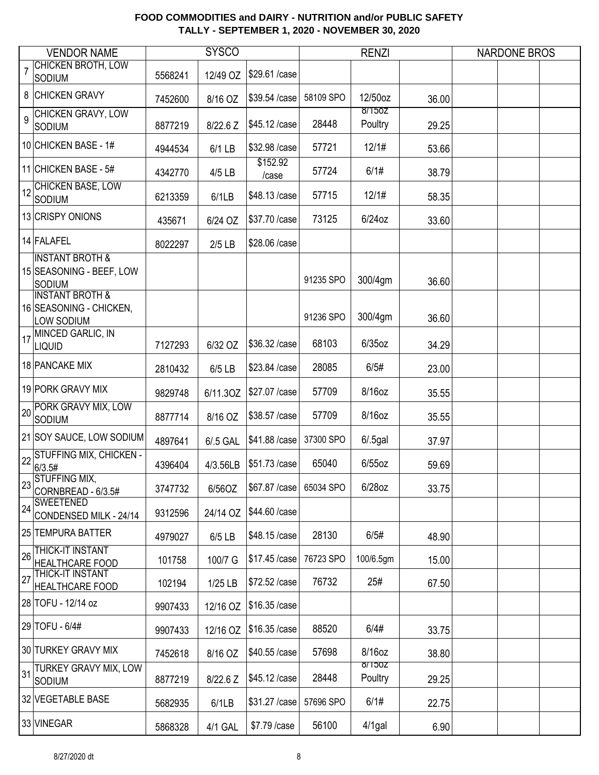|    | <b>VENDOR NAME</b>                                                  |         | <b>SYSCO</b> |                   |           | <b>RENZI</b>      |       | <b>NARDONE BROS</b> |  |
|----|---------------------------------------------------------------------|---------|--------------|-------------------|-----------|-------------------|-------|---------------------|--|
|    | <b>CHICKEN BROTH, LOW</b><br><b>SODIUM</b>                          | 5568241 | 12/49 OZ     | \$29.61 /case     |           |                   |       |                     |  |
|    | 8 CHICKEN GRAVY                                                     | 7452600 | 8/16 OZ      | \$39.54 /case     | 58109 SPO | 12/50oz           | 36.00 |                     |  |
| 9  | CHICKEN GRAVY, LOW<br><b>SODIUM</b>                                 | 8877219 | 8/22.6 Z     | \$45.12 /case     | 28448     | 8/150Z<br>Poultry | 29.25 |                     |  |
|    | 10 CHICKEN BASE - 1#                                                | 4944534 | 6/1 LB       | \$32.98 /case     | 57721     | 12/1#             | 53.66 |                     |  |
|    | 11 CHICKEN BASE - 5#                                                | 4342770 | 4/5 LB       | \$152.92<br>/case | 57724     | 6/1#              | 38.79 |                     |  |
|    | CHICKEN BASE, LOW<br>SODIUM                                         | 6213359 | 6/1LB        | \$48.13 /case     | 57715     | 12/1#             | 58.35 |                     |  |
|    | 13 CRISPY ONIONS                                                    | 435671  | 6/24 OZ      | \$37.70 / case    | 73125     | 6/24oz            | 33.60 |                     |  |
|    | 14 FALAFEL                                                          | 8022297 | $2/5$ LB     | \$28.06 /case     |           |                   |       |                     |  |
|    | <b>INSTANT BROTH &amp;</b><br>15 SEASONING - BEEF, LOW<br>SODIUM    |         |              |                   | 91235 SPO | 300/4gm           | 36.60 |                     |  |
|    | <b>INSTANT BROTH &amp;</b><br>16 SEASONING - CHICKEN,<br>LOW SODIUM |         |              |                   | 91236 SPO | 300/4gm           | 36.60 |                     |  |
| 17 | MINCED GARLIC, IN<br><b>LIQUID</b>                                  | 7127293 | 6/32 OZ      | \$36.32 / case    | 68103     | $6/35$ oz         | 34.29 |                     |  |
|    | 18 PANCAKE MIX                                                      | 2810432 | 6/5 LB       | \$23.84 /case     | 28085     | 6/5#              | 23.00 |                     |  |
|    | 19 PORK GRAVY MIX                                                   | 9829748 | 6/11.3OZ     | \$27.07 / case    | 57709     | 8/16oz            | 35.55 |                     |  |
|    | 20 PORK GRAVY MIX, LOW<br><b>SODIUM</b>                             | 8877714 | 8/16 OZ      | \$38.57 / case    | 57709     | 8/16oz            | 35.55 |                     |  |
|    | 21 SOY SAUCE, LOW SODIUM                                            | 4897641 | 6/.5 GAL     | \$41.88 / case    | 37300 SPO | $6/.5$ gal        | 37.97 |                     |  |
| 22 | <b>STUFFING MIX, CHICKEN -</b><br>6/3.5#                            | 4396404 | 4/3.56LB     | \$51.73 /case     | 65040     | $6/55$ oz         | 59.69 |                     |  |
| 20 | on STUFFING MIX,<br>CORNBREAD - 6/3.5#                              | 3747732 | 6/56OZ       | \$67.87 / case    | 65034 SPO | 6/28oz            | 33.75 |                     |  |
| 24 | <b>SWEETENED</b><br>CONDENSED MILK - 24/14                          | 9312596 | 24/14 OZ     | \$44.60 / case    |           |                   |       |                     |  |
|    | 25 TEMPURA BATTER                                                   | 4979027 | 6/5 LB       | \$48.15 /case     | 28130     | 6/5#              | 48.90 |                     |  |
| 26 | <b>THICK-IT INSTANT</b><br><b>HEALTHCARE FOOD</b>                   | 101758  | 100/7 G      | \$17.45 /case     | 76723 SPO | 100/6.5gm         | 15.00 |                     |  |
| 27 | THICK-IT INSTANT<br><b>HEALTHCARE FOOD</b>                          | 102194  | 1/25 LB      | \$72.52 / case    | 76732     | 25#               | 67.50 |                     |  |
|    | 28 TOFU - 12/14 oz                                                  | 9907433 | 12/16 OZ     | \$16.35 /case     |           |                   |       |                     |  |
|    | 29 TOFU - 6/4#                                                      | 9907433 | 12/16 OZ     | \$16.35 /case     | 88520     | 6/4#              | 33.75 |                     |  |
|    | 30 TURKEY GRAVY MIX                                                 | 7452618 | 8/16 OZ      | \$40.55 /case     | 57698     | 8/16oz            | 38.80 |                     |  |
| 31 | TURKEY GRAVY MIX, LOW<br><b>SODIUM</b>                              | 8877219 | 8/22.6 Z     | \$45.12 / case    | 28448     | 8/150Z<br>Poultry | 29.25 |                     |  |
|    | 32 VEGETABLE BASE                                                   | 5682935 | 6/1LB        | \$31.27 / case    | 57696 SPO | 6/1#              | 22.75 |                     |  |
|    | 33 VINEGAR                                                          | 5868328 | 4/1 GAL      | \$7.79 / case     | 56100     | $4/1$ gal         | 6.90  |                     |  |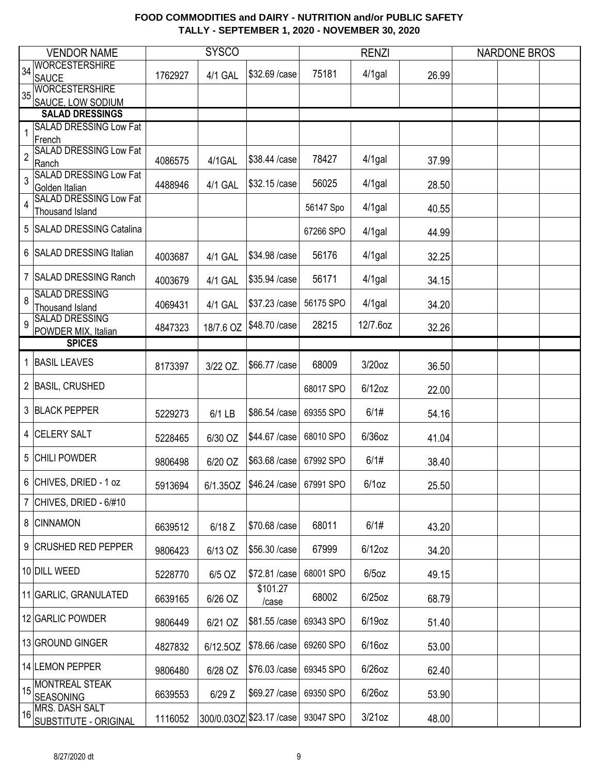|                | <b>VENDOR NAME</b>                           |         | <b>SYSCO</b> |                                       |           | <b>RENZI</b> |       | <b>NARDONE BROS</b> |  |
|----------------|----------------------------------------------|---------|--------------|---------------------------------------|-----------|--------------|-------|---------------------|--|
| 34             | <b>WORCESTERSHIRE</b>                        |         |              |                                       |           |              |       |                     |  |
|                | <b>SAUCE</b>                                 | 1762927 | 4/1 GAL      | \$32.69 / case                        | 75181     | $4/1$ gal    | 26.99 |                     |  |
| 35             | <b>WORCESTERSHIRE</b>                        |         |              |                                       |           |              |       |                     |  |
|                | SAUCE, LOW SODIUM                            |         |              |                                       |           |              |       |                     |  |
|                | <b>SALAD DRESSINGS</b>                       |         |              |                                       |           |              |       |                     |  |
| 1              | <b>SALAD DRESSING Low Fat</b>                |         |              |                                       |           |              |       |                     |  |
|                | French<br><b>SALAD DRESSING Low Fat</b>      |         |              |                                       |           |              |       |                     |  |
| $\overline{c}$ | Ranch                                        | 4086575 | 4/1GAL       | \$38.44 /case                         | 78427     | $4/1$ gal    | 37.99 |                     |  |
| 3              | <b>SALAD DRESSING Low Fat</b>                |         |              |                                       |           |              |       |                     |  |
|                | Golden Italian                               | 4488946 | 4/1 GAL      | \$32.15 /case                         | 56025     | $4/1$ gal    | 28.50 |                     |  |
| 4              | <b>SALAD DRESSING Low Fat</b>                |         |              |                                       | 56147 Spo | $4/1$ gal    |       |                     |  |
|                | <b>Thousand Island</b>                       |         |              |                                       |           |              | 40.55 |                     |  |
|                | 5 SALAD DRESSING Catalina                    |         |              |                                       | 67266 SPO | $4/1$ gal    | 44.99 |                     |  |
|                |                                              |         |              |                                       |           |              |       |                     |  |
|                | 6 SALAD DRESSING Italian                     | 4003687 | 4/1 GAL      | \$34.98 / case                        | 56176     | $4/1$ gal    | 32.25 |                     |  |
|                | 7 SALAD DRESSING Ranch                       |         |              |                                       |           |              |       |                     |  |
|                |                                              | 4003679 | 4/1 GAL      | \$35.94 /case                         | 56171     | $4/1$ gal    | 34.15 |                     |  |
| 8              | <b>SALAD DRESSING</b>                        |         |              | \$37.23 / case                        | 56175 SPO | $4/1$ gal    |       |                     |  |
|                | <b>Thousand Island</b>                       | 4069431 | 4/1 GAL      |                                       |           |              | 34.20 |                     |  |
| 9              | <b>SALAD DRESSING</b><br>POWDER MIX, Italian | 4847323 | 18/7.6 OZ    | \$48.70 / case                        | 28215     | 12/7.6oz     | 32.26 |                     |  |
|                | <b>SPICES</b>                                |         |              |                                       |           |              |       |                     |  |
|                |                                              |         |              |                                       |           |              |       |                     |  |
| $\mathbf 1$    | <b>BASIL LEAVES</b>                          | 8173397 | 3/22 OZ.     | \$66.77 / case                        | 68009     | $3/20$ oz    | 36.50 |                     |  |
|                | 2 BASIL, CRUSHED                             |         |              |                                       |           |              |       |                     |  |
|                |                                              |         |              |                                       | 68017 SPO | $6/12$ oz    | 22.00 |                     |  |
|                | 3 BLACK PEPPER                               |         | $6/1$ LB     | \$86.54 /case                         | 69355 SPO | 6/1#         | 54.16 |                     |  |
|                |                                              | 5229273 |              |                                       |           |              |       |                     |  |
|                | 4 CELERY SALT                                | 5228465 | 6/30 OZ      | \$44.67 / case                        | 68010 SPO | 6/36oz       | 41.04 |                     |  |
|                |                                              |         |              |                                       |           |              |       |                     |  |
|                | 5 CHILI POWDER                               | 9806498 | 6/20 OZ      | \$63.68 / case                        | 67992 SPO | 6/1#         | 38.40 |                     |  |
|                | 6 CHIVES, DRIED - 1 oz                       |         |              |                                       |           |              |       |                     |  |
|                |                                              | 5913694 |              | 6/1.35OZ   \$46.24 / case   67991 SPO |           | 6/1oz        | 25.50 |                     |  |
|                | 7 CHIVES, DRIED - $6/#10$                    |         |              |                                       |           |              |       |                     |  |
|                | 8 CINNAMON                                   |         |              |                                       | 68011     | 6/1#         |       |                     |  |
|                |                                              | 6639512 | $6/18$ Z     | \$70.68 / case                        |           |              | 43.20 |                     |  |
|                | 9 CRUSHED RED PEPPER                         | 9806423 | 6/13 OZ      | \$56.30 / case                        | 67999     | $6/12$ oz    | 34.20 |                     |  |
|                |                                              |         |              |                                       |           |              |       |                     |  |
|                | 10 DILL WEED                                 | 5228770 | 6/5 OZ       | \$72.81 /case                         | 68001 SPO | $6/5$ oz     | 49.15 |                     |  |
|                |                                              |         |              | \$101.27                              |           |              |       |                     |  |
|                | 11 GARLIC, GRANULATED                        | 6639165 | 6/26 OZ      | /case                                 | 68002     | $6/25$ oz    | 68.79 |                     |  |
|                | 12 GARLIC POWDER                             |         |              | \$81.55 /case                         | 69343 SPO | $6/19$ oz    |       |                     |  |
|                |                                              | 9806449 | 6/21 OZ      |                                       |           |              | 51.40 |                     |  |
|                | 13 GROUND GINGER                             | 4827832 | 6/12.5OZ     | \$78.66 / case                        | 69260 SPO | $6/16$ oz    | 53.00 |                     |  |
|                |                                              |         |              |                                       |           |              |       |                     |  |
|                | 14 LEMON PEPPER                              | 9806480 | 6/28 OZ      | \$76.03 / case                        | 69345 SPO | $6/26$ oz    | 62.40 |                     |  |
|                | 15 MONTREAL STEAK                            |         |              |                                       |           |              |       |                     |  |
|                | <b>SEASONING</b>                             | 6639553 | $6/29$ Z     | \$69.27 / case                        | 69350 SPO | $6/26$ oz    | 53.90 |                     |  |
| 16             | MRS. DASH SALT                               | 1116052 |              | 300/0.03OZ \$23.17 / case             | 93047 SPO | $3/21$ oz    | 48.00 |                     |  |
|                | <b>SUBSTITUTE - ORIGINAL</b>                 |         |              |                                       |           |              |       |                     |  |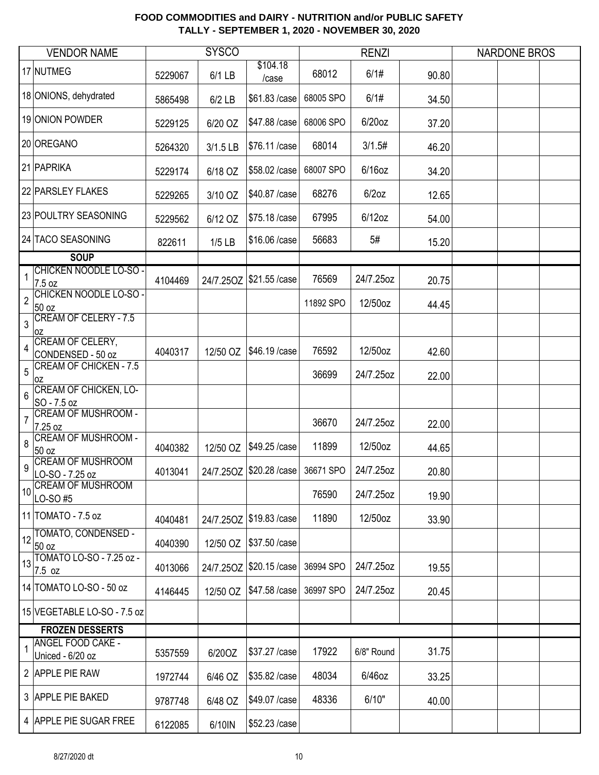|                | <b>VENDOR NAME</b>                           |         | <b>SYSCO</b> |                          |           | <b>RENZI</b> |       | <b>NARDONE BROS</b> |  |
|----------------|----------------------------------------------|---------|--------------|--------------------------|-----------|--------------|-------|---------------------|--|
|                | 17 NUTMEG                                    | 5229067 | 6/1 LB       | \$104.18<br>/case        | 68012     | 6/1#         | 90.80 |                     |  |
|                | 18 ONIONS, dehydrated                        | 5865498 | $6/2$ LB     | \$61.83 / case           | 68005 SPO | 6/1#         | 34.50 |                     |  |
|                | 19 ONION POWDER                              | 5229125 | 6/20 OZ      | \$47.88 / case           | 68006 SPO | 6/20oz       | 37.20 |                     |  |
|                | 20 OREGANO                                   | 5264320 | 3/1.5 LB     | \$76.11 /case            | 68014     | 3/1.5#       | 46.20 |                     |  |
|                | 21 PAPRIKA                                   | 5229174 | 6/18 OZ      | \$58.02 / case           | 68007 SPO | $6/16$ oz    | 34.20 |                     |  |
|                | 22 PARSLEY FLAKES                            | 5229265 | 3/10 OZ      | \$40.87 / case           | 68276     | $6/2$ oz     | 12.65 |                     |  |
|                | 23 POULTRY SEASONING                         | 5229562 | 6/12 OZ      | \$75.18 / case           | 67995     | $6/12$ oz    | 54.00 |                     |  |
|                | 24 TACO SEASONING                            | 822611  | $1/5$ LB     | \$16.06 / case           | 56683     | 5#           | 15.20 |                     |  |
|                | <b>SOUP</b>                                  |         |              |                          |           |              |       |                     |  |
| 1              | <b>CHICKEN NOODLE LO-SO -</b><br>7.5 oz      | 4104469 | 24/7.25OZ    | \$21.55 /case            | 76569     | 24/7.25oz    | 20.75 |                     |  |
| $\overline{2}$ | <b>CHICKEN NOODLE LO-SO-</b><br>50 oz        |         |              |                          | 11892 SPO | 12/50oz      | 44.45 |                     |  |
| 3              | <b>CREAM OF CELERY - 7.5</b><br>0Z           |         |              |                          |           |              |       |                     |  |
| 4              | CREAM OF CELERY,<br>CONDENSED - 50 oz        | 4040317 | 12/50 OZ     | \$46.19 / case           | 76592     | 12/50oz      | 42.60 |                     |  |
| 5              | <b>CREAM OF CHICKEN - 7.5</b><br>0Z          |         |              |                          | 36699     | 24/7.25oz    | 22.00 |                     |  |
| 6              | <b>CREAM OF CHICKEN, LO-</b><br>SO - 7.5 oz  |         |              |                          |           |              |       |                     |  |
| $\overline{7}$ | <b>CREAM OF MUSHROOM -</b><br>7.25 oz        |         |              |                          | 36670     | 24/7.25oz    | 22.00 |                     |  |
| 8              | <b>CREAM OF MUSHROOM -</b><br>50 oz          | 4040382 | 12/50 OZ     | \$49.25 / case           | 11899     | 12/50oz      | 44.65 |                     |  |
| 9              | <b>CREAM OF MUSHROOM</b><br>LO-SO - 7.25 oz  | 4013041 |              | 24/7.25OZ \$20.28 / case | 36671 SPO | 24/7.25oz    | 20.80 |                     |  |
| 10             | <b>CREAM OF MUSHROOM</b><br>LO-SO#5          |         |              |                          | 76590     | 24/7.25oz    | 19.90 |                     |  |
|                | 11 TOMATO - 7.5 oz                           | 4040481 |              | 24/7.25OZ \$19.83 / case | 11890     | 12/50oz      | 33.90 |                     |  |
|                | $12$ TOMATO, CONDENSED -<br>50 oz            | 4040390 | 12/50 OZ     | \$37.50 / case           |           |              |       |                     |  |
| 13             | TOMATO LO-SO - 7.25 oz -<br>7.5 oz           | 4013066 |              | 24/7.25OZ \$20.15 / case | 36994 SPO | 24/7.25oz    | 19.55 |                     |  |
|                | 14 TOMATO LO-SO - 50 oz                      | 4146445 | 12/50 OZ     | \$47.58 / case           | 36997 SPO | 24/7.25oz    | 20.45 |                     |  |
|                | 15 VEGETABLE LO-SO - 7.5 oz                  |         |              |                          |           |              |       |                     |  |
|                | <b>FROZEN DESSERTS</b>                       |         |              |                          |           |              |       |                     |  |
|                | <b>ANGEL FOOD CAKE -</b><br>Uniced - 6/20 oz | 5357559 | 6/20OZ       | \$37.27 / case           | 17922     | 6/8" Round   | 31.75 |                     |  |
|                | 2 APPLE PIE RAW                              | 1972744 | 6/46 OZ      | \$35.82 / case           | 48034     | $6/46$ oz    | 33.25 |                     |  |
|                | 3 APPLE PIE BAKED                            | 9787748 | 6/48 OZ      | \$49.07 / case           | 48336     | 6/10"        | 40.00 |                     |  |
|                | 4 APPLE PIE SUGAR FREE                       | 6122085 | 6/10IN       | \$52.23 / case           |           |              |       |                     |  |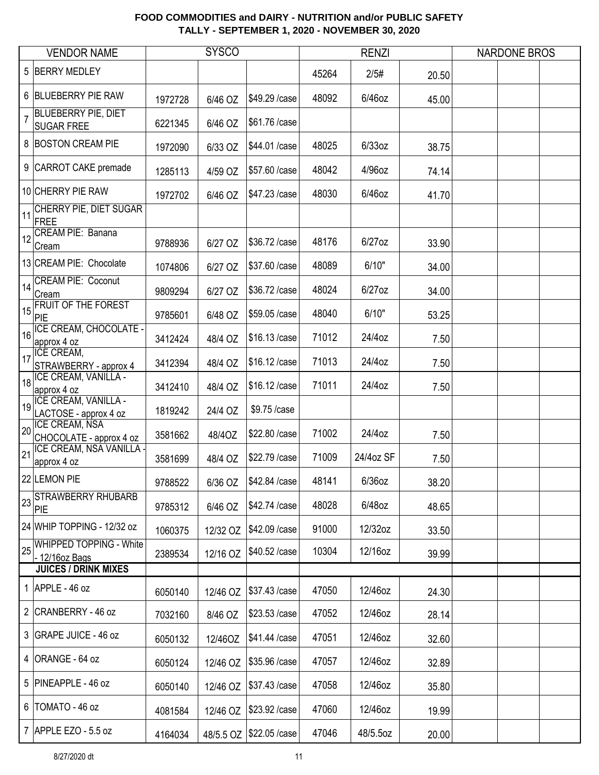|                | <b>VENDOR NAME</b>                               |         | <b>SYSCO</b> |                |       | <b>RENZI</b> |       | <b>NARDONE BROS</b> |  |
|----------------|--------------------------------------------------|---------|--------------|----------------|-------|--------------|-------|---------------------|--|
|                | 5 BERRY MEDLEY                                   |         |              |                | 45264 | 2/5#         | 20.50 |                     |  |
|                | 6 BLUEBERRY PIE RAW                              | 1972728 | 6/46 OZ      | \$49.29 / case | 48092 | 6/46oz       | 45.00 |                     |  |
| $\overline{7}$ | <b>BLUEBERRY PIE, DIET</b><br><b>SUGAR FREE</b>  | 6221345 | 6/46 OZ      | \$61.76 /case  |       |              |       |                     |  |
|                | 8 BOSTON CREAM PIE                               | 1972090 | 6/33 OZ      | \$44.01 /case  | 48025 | 6/33oz       | 38.75 |                     |  |
|                | 9 CARROT CAKE premade                            | 1285113 | 4/59 OZ      | \$57.60 / case | 48042 | 4/96oz       | 74.14 |                     |  |
|                | 10 CHERRY PIE RAW                                | 1972702 | 6/46 OZ      | \$47.23 / case | 48030 | 6/46oz       | 41.70 |                     |  |
| 11             | CHERRY PIE, DIET SUGAR<br>FREE                   |         |              |                |       |              |       |                     |  |
| 12             | CREAM PIE: Banana<br>Cream                       | 9788936 | 6/27 OZ      | \$36.72 / case | 48176 | $6/27$ oz    | 33.90 |                     |  |
|                | 13 CREAM PIE: Chocolate                          | 1074806 | 6/27 OZ      | \$37.60 / case | 48089 | 6/10"        | 34.00 |                     |  |
| 14             | <b>CREAM PIE: Coconut</b><br>Cream               | 9809294 | 6/27 OZ      | \$36.72 / case | 48024 | $6/27$ oz    | 34.00 |                     |  |
|                | $15$ FRUIT OF THE FOREST<br>PIE                  | 9785601 | 6/48 OZ      | \$59.05 / case | 48040 | 6/10"        | 53.25 |                     |  |
|                | 16 ICE CREAM, CHOCOLATE -<br>approx 4 oz         | 3412424 | 48/4 OZ      | \$16.13 /case  | 71012 | 24/4oz       | 7.50  |                     |  |
| 17             | <b>ICE CREAM,</b><br>STRAWBERRY - approx 4       | 3412394 | 48/4 OZ      | \$16.12 / case | 71013 | 24/4oz       | 7.50  |                     |  |
|                | 18 ICE CREAM, VANILLA -<br>approx 4 oz           | 3412410 | 48/4 OZ      | \$16.12 / case | 71011 | 24/4oz       | 7.50  |                     |  |
|                | 19 ICE CREAM, VANILLA -<br>LACTOSE - approx 4 oz | 1819242 | 24/4 OZ      | \$9.75 /case   |       |              |       |                     |  |
| 20             | <b>ICE CREAM, NSA</b><br>CHOCOLATE - approx 4 oz | 3581662 | 48/40Z       | \$22.80 / case | 71002 | 24/4oz       | 7.50  |                     |  |
| 21             | <b>ICE CREAM, NSA VANILLA</b><br>approx 4 oz     | 3581699 | 48/4 OZ      | \$22.79 / case | 71009 | 24/4oz SF    | 7.50  |                     |  |
|                | 22 LEMON PIE                                     | 9788522 | 6/36 OZ      | \$42.84 / case | 48141 | $6/36$ oz    | 38.20 |                     |  |
|                | STRAWBERRY RHUBARB<br>PIE                        | 9785312 | 6/46 OZ      | \$42.74 / case | 48028 | 6/48oz       | 48.65 |                     |  |
|                | 24 WHIP TOPPING - 12/32 oz                       | 1060375 | 12/32 OZ     | \$42.09 / case | 91000 | 12/32oz      | 33.50 |                     |  |
| 25             | <b>WHIPPED TOPPING - White</b><br>- 12/16oz Bags | 2389534 | 12/16 OZ     | \$40.52 /case  | 10304 | 12/16oz      | 39.99 |                     |  |
|                | <b>JUICES / DRINK MIXES</b>                      |         |              |                |       |              |       |                     |  |
|                | 1 $APPLE - 46$ oz                                | 6050140 | 12/46 OZ     | \$37.43 /case  | 47050 | 12/46oz      | 24.30 |                     |  |
|                | 2 CRANBERRY - 46 oz                              | 7032160 | 8/46 OZ      | \$23.53 / case | 47052 | 12/46oz      | 28.14 |                     |  |
|                | 3 GRAPE JUICE - 46 oz                            | 6050132 | 12/46OZ      | \$41.44 / case | 47051 | 12/46oz      | 32.60 |                     |  |
|                | 4 ORANGE - 64 oz                                 | 6050124 | 12/46 OZ     | \$35.96 /case  | 47057 | 12/46oz      | 32.89 |                     |  |
|                | 5 PINEAPPLE - 46 oz                              | 6050140 | 12/46 OZ     | \$37.43 / case | 47058 | 12/46oz      | 35.80 |                     |  |
|                | 6   TOMATO - 46 oz                               | 4081584 | 12/46 OZ     | \$23.92 / case | 47060 | 12/46oz      | 19.99 |                     |  |
|                | 7 APPLE EZO - 5.5 oz                             | 4164034 | 48/5.5 OZ    | \$22.05 / case | 47046 | 48/5.5oz     | 20.00 |                     |  |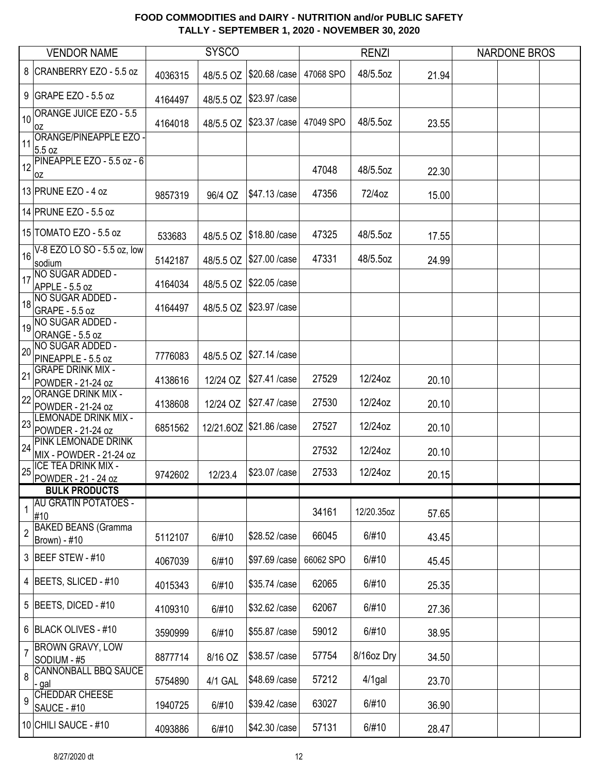|                | <b>VENDOR NAME</b>                            |         | <b>SYSCO</b> |                |           | <b>RENZI</b> |       | <b>NARDONE BROS</b> |  |
|----------------|-----------------------------------------------|---------|--------------|----------------|-----------|--------------|-------|---------------------|--|
|                | 8 CRANBERRY EZO - 5.5 oz                      | 4036315 | 48/5.5 OZ    | \$20.68 / case | 47068 SPO | 48/5.5oz     | 21.94 |                     |  |
|                | 9 GRAPE EZO - 5.5 oz                          | 4164497 | 48/5.5 OZ    | \$23.97 / case |           |              |       |                     |  |
| 10             | <b>ORANGE JUICE EZO - 5.5</b><br>0Z           | 4164018 | 48/5.5 OZ    | \$23.37 / case | 47049 SPO | 48/5.5oz     | 23.55 |                     |  |
| 11             | ORANGE/PINEAPPLE EZO -<br>5.5 oz              |         |              |                |           |              |       |                     |  |
| 12             | PINEAPPLE EZO - 5.5 oz - 6<br>0Z              |         |              |                | 47048     | 48/5.5oz     | 22.30 |                     |  |
|                | 13 PRUNE EZO - 4 oz                           | 9857319 | 96/4 OZ      | \$47.13 /case  | 47356     | 72/4oz       | 15.00 |                     |  |
|                | 14 PRUNE EZO - 5.5 oz                         |         |              |                |           |              |       |                     |  |
|                | 15 TOMATO EZO - 5.5 oz                        | 533683  | 48/5.5 OZ    | \$18.80 / case | 47325     | 48/5.5oz     | 17.55 |                     |  |
| 16             | V-8 EZO LO SO - 5.5 oz, low<br>sodium         | 5142187 | 48/5.5 OZ    | \$27.00 / case | 47331     | 48/5.5oz     | 24.99 |                     |  |
| 17             | NO SUGAR ADDED -<br>APPLE - 5.5 oz            | 4164034 | 48/5.5 OZ    | \$22.05 / case |           |              |       |                     |  |
| 18             | NO SUGAR ADDED -<br>GRAPE - 5.5 oz            | 4164497 | 48/5.5 OZ    | \$23.97 / case |           |              |       |                     |  |
| 19             | NO SUGAR ADDED -<br>ORANGE - 5.5 oz           |         |              |                |           |              |       |                     |  |
| 20             | NO SUGAR ADDED -<br>PINEAPPLE - 5.5 oz        | 7776083 | 48/5.5 OZ    | \$27.14 /case  |           |              |       |                     |  |
| 21             | <b>GRAPE DRINK MIX -</b><br>POWDER - 21-24 oz | 4138616 | 12/24 OZ     | \$27.41 /case  | 27529     | 12/24oz      | 20.10 |                     |  |
| 22             | <b>ORANGE DRINK MIX -</b>                     |         |              | \$27.47 / case | 27530     | 12/24oz      | 20.10 |                     |  |
| 23             | POWDER - 21-24 oz<br>LEMONADE DRINK MIX -     | 4138608 | 12/24 OZ     |                |           |              |       |                     |  |
|                | POWDER - 21-24 oz<br>PINK LEMONADE DRINK      | 6851562 | 12/21.6OZ    | \$21.86 / case | 27527     | 12/24oz      | 20.10 |                     |  |
| 24             | MIX - POWDER - 21-24 oz                       |         |              |                | 27532     | 12/24oz      | 20.10 |                     |  |
| 25             | ICE TEA DRINK MIX -<br>POWDER - 21 - 24 oz    | 9742602 | 12/23.4      | \$23.07 / case | 27533     | 12/24oz      | 20.15 |                     |  |
|                | <b>BULK PRODUCTS</b>                          |         |              |                |           |              |       |                     |  |
| 1              | <b>AU GRATIN POTATOES -</b>                   |         |              |                | 34161     | 12/20.35oz   | 57.65 |                     |  |
|                | #10<br><b>BAKED BEANS (Gramma</b>             |         |              |                |           |              |       |                     |  |
| $\overline{c}$ | Brown) - #10                                  | 5112107 | 6/#10        | \$28.52 /case  | 66045     | 6/#10        | 43.45 |                     |  |
|                | 3 BEEF STEW - #10                             | 4067039 | 6/#10        | \$97.69 /case  | 66062 SPO | 6/#10        | 45.45 |                     |  |
|                | 4 BEETS, SLICED - #10                         | 4015343 | 6/#10        | \$35.74 /case  | 62065     | 6/#10        | 25.35 |                     |  |
|                | 5 BEETS, DICED - $#10$                        | 4109310 | 6/#10        | \$32.62 / case | 62067     | 6/#10        | 27.36 |                     |  |
|                | 6 BLACK OLIVES - #10                          | 3590999 | 6/#10        | \$55.87 / case | 59012     | 6/#10        | 38.95 |                     |  |
| $\overline{7}$ | <b>BROWN GRAVY, LOW</b><br>SODIUM - #5        | 8877714 | 8/16 OZ      | \$38.57 / case | 57754     | 8/16oz Dry   | 34.50 |                     |  |
| 8              | <b>CANNONBALL BBQ SAUCE</b><br>- gal          | 5754890 | 4/1 GAL      | \$48.69 / case | 57212     | $4/1$ gal    | 23.70 |                     |  |
| 9              | CHEDDAR CHEESE<br>SAUCE - #10                 | 1940725 | 6/#10        | \$39.42 /case  | 63027     | 6/#10        | 36.90 |                     |  |
|                | 10 CHILI SAUCE - #10                          | 4093886 | 6/#10        | \$42.30 / case | 57131     | 6/#10        | 28.47 |                     |  |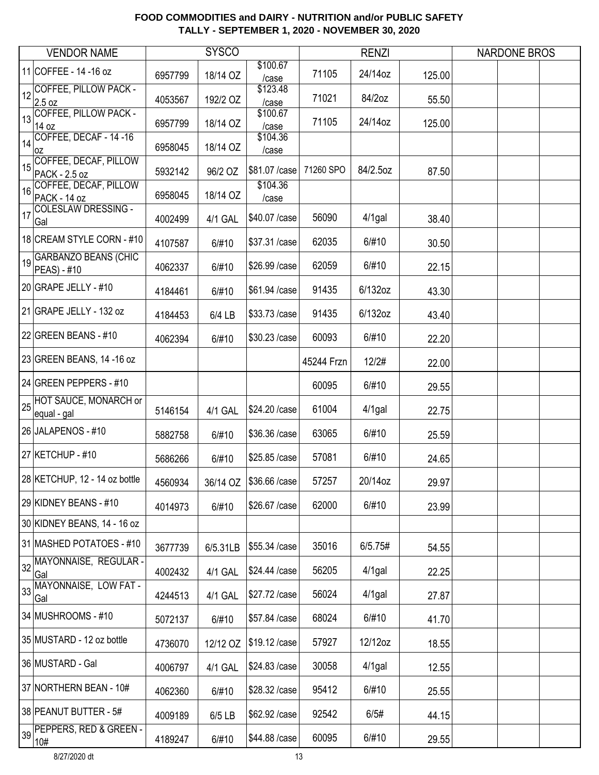|    | <b>VENDOR NAME</b>                         |         | <b>SYSCO</b> |                           |            | <b>RENZI</b> |        | <b>NARDONE BROS</b> |  |
|----|--------------------------------------------|---------|--------------|---------------------------|------------|--------------|--------|---------------------|--|
|    | 11 COFFEE - 14 - 16 oz                     | 6957799 | 18/14 OZ     | \$100.67<br>/case         | 71105      | 24/14oz      | 125.00 |                     |  |
| 12 | <b>COFFEE, PILLOW PACK -</b><br>2.5 oz     | 4053567 | 192/2 OZ     | \$123.48<br>/case         | 71021      | 84/2oz       | 55.50  |                     |  |
| 13 | <b>COFFEE, PILLOW PACK -</b><br>14 oz      | 6957799 | 18/14 OZ     | \$100.67<br>/case         | 71105      | 24/14oz      | 125.00 |                     |  |
|    | $14$ COFFEE, DECAF - 14 -16<br>0Z          | 6958045 | 18/14 OZ     | \$104.36<br>/case         |            |              |        |                     |  |
| 15 | COFFEE, DECAF, PILLOW<br>PACK - 2.5 oz     | 5932142 | 96/2 OZ      | \$81.07 / case            | 71260 SPO  | 84/2.5oz     | 87.50  |                     |  |
| 16 | COFFEE, DECAF, PILLOW<br>PACK - 14 oz      | 6958045 | 18/14 OZ     | \$104.36<br>/case         |            |              |        |                     |  |
| 17 | <b>COLESLAW DRESSING -</b><br>Gal          | 4002499 | 4/1 GAL      | \$40.07 / case            | 56090      | $4/1$ gal    | 38.40  |                     |  |
|    | 18 CREAM STYLE CORN - #10                  | 4107587 | 6/#10        | \$37.31 /case             | 62035      | 6/#10        | 30.50  |                     |  |
| 19 | <b>GARBANZO BEANS (CHIC</b><br>PEAS) - #10 | 4062337 | 6/#10        | \$26.99 / case            | 62059      | 6/#10        | 22.15  |                     |  |
|    | 20 GRAPE JELLY - #10                       | 4184461 | 6/#10        | \$61.94 /case             | 91435      | 6/132oz      | 43.30  |                     |  |
|    | 21 GRAPE JELLY - 132 oz                    | 4184453 | 6/4 LB       | \$33.73 /case             | 91435      | 6/132oz      | 43.40  |                     |  |
|    | 22 GREEN BEANS - #10                       | 4062394 | 6/#10        | \$30.23 / case            | 60093      | 6/#10        | 22.20  |                     |  |
|    | 23 GREEN BEANS, 14 -16 oz                  |         |              |                           | 45244 Frzn | 12/2#        | 22.00  |                     |  |
|    | 24 GREEN PEPPERS - #10                     |         |              |                           | 60095      | 6/#10        | 29.55  |                     |  |
|    | 25 HOT SAUCE, MONARCH or<br>equal - gal    | 5146154 | 4/1 GAL      | \$24.20 / case            | 61004      | $4/1$ gal    | 22.75  |                     |  |
|    | 26 JALAPENOS - #10                         | 5882758 | 6/#10        | \$36.36 / case            | 63065      | 6/#10        | 25.59  |                     |  |
|    | 27 KETCHUP - #10                           | 5686266 | 6/#10        | \$25.85 /case             | 57081      | 6/#10        | 24.65  |                     |  |
|    | 28 KETCHUP, 12 - 14 oz bottle              | 4560934 |              | 36/14 OZ   \$36.66 / case | 57257      | 20/14oz      | 29.97  |                     |  |
|    | 29 KIDNEY BEANS - #10                      | 4014973 | 6/#10        | \$26.67 / case            | 62000      | 6/#10        | 23.99  |                     |  |
|    | 30 KIDNEY BEANS, 14 - 16 oz                |         |              |                           |            |              |        |                     |  |
|    | 31 MASHED POTATOES - #10                   | 3677739 | 6/5.31LB     | \$55.34 /case             | 35016      | 6/5.75#      | 54.55  |                     |  |
|    | 32 MAYONNAISE, REGULAR-<br>Gal             | 4002432 | 4/1 GAL      | \$24.44 /case             | 56205      | $4/1$ gal    | 22.25  |                     |  |
|    | 33 MAYONNAISE, LOW FAT-<br>Gal             | 4244513 | 4/1 GAL      | \$27.72 / case            | 56024      | $4/1$ gal    | 27.87  |                     |  |
|    | 34 MUSHROOMS - #10                         | 5072137 | 6/#10        | \$57.84 /case             | 68024      | 6/#10        | 41.70  |                     |  |
|    | 35 MUSTARD - 12 oz bottle                  | 4736070 | 12/12 OZ     | \$19.12 / case            | 57927      | 12/12oz      | 18.55  |                     |  |
|    | 36 MUSTARD - Gal                           | 4006797 | 4/1 GAL      | \$24.83 /case             | 30058      | $4/1$ gal    | 12.55  |                     |  |
|    | 37 NORTHERN BEAN - 10#                     | 4062360 | 6/#10        | \$28.32 / case            | 95412      | 6/#10        | 25.55  |                     |  |
|    | 38 PEANUT BUTTER - 5#                      | 4009189 | 6/5 LB       | \$62.92 / case            | 92542      | 6/5#         | 44.15  |                     |  |
|    | 39 PEPPERS, RED & GREEN -<br>10#           | 4189247 | 6/#10        | \$44.88 / case            | 60095      | 6/#10        | 29.55  |                     |  |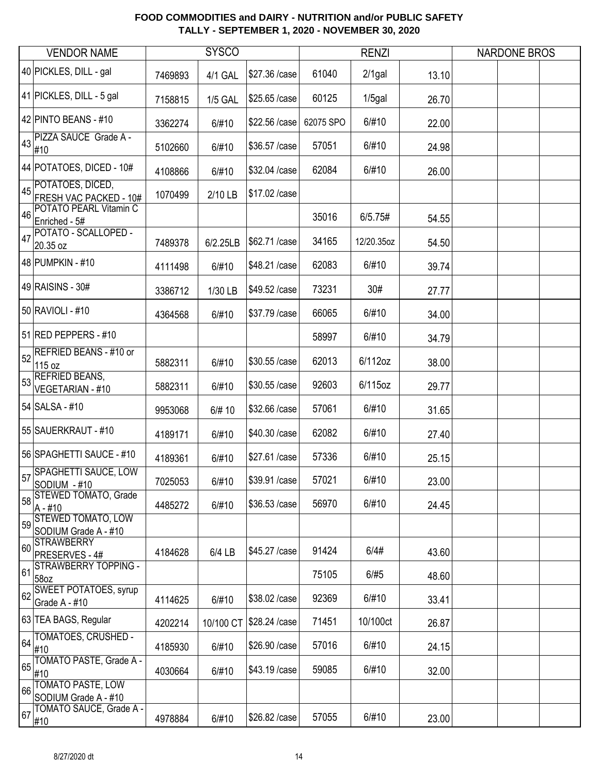|    | <b>VENDOR NAME</b>                            |         | <b>SYSCO</b>   |                |           | <b>RENZI</b> |       | <b>NARDONE BROS</b> |  |
|----|-----------------------------------------------|---------|----------------|----------------|-----------|--------------|-------|---------------------|--|
|    | 40 PICKLES, DILL - gal                        | 7469893 | 4/1 GAL        | \$27.36 /case  | 61040     | $2/1$ gal    | 13.10 |                     |  |
|    | 41 PICKLES, DILL - 5 gal                      | 7158815 | <b>1/5 GAL</b> | \$25.65 /case  | 60125     | $1/5$ gal    | 26.70 |                     |  |
|    | 42 PINTO BEANS - #10                          | 3362274 | 6/#10          | \$22.56 /case  | 62075 SPO | 6/#10        | 22.00 |                     |  |
|    | 43 PIZZA SAUCE Grade A -<br>#10               | 5102660 | 6/#10          | \$36.57 / case | 57051     | 6/#10        | 24.98 |                     |  |
|    | 44 POTATOES, DICED - 10#                      | 4108866 | 6/#10          | \$32.04 / case | 62084     | 6/#10        | 26.00 |                     |  |
|    | 45 POTATOES, DICED,<br>FRESH VAC PACKED - 10# | 1070499 | 2/10 LB        | \$17.02 / case |           |              |       |                     |  |
| 46 | POTATO PEARL Vitamin C<br>Enriched - 5#       |         |                |                | 35016     | 6/5.75#      | 54.55 |                     |  |
| 47 | POTATO - SCALLOPED -<br>20.35 oz              | 7489378 | 6/2.25LB       | \$62.71 / case | 34165     | 12/20.35oz   | 54.50 |                     |  |
|    | 48 PUMPKIN - #10                              | 4111498 | 6/#10          | \$48.21 / case | 62083     | 6/#10        | 39.74 |                     |  |
|    | 49 RAISINS - 30#                              | 3386712 | 1/30 LB        | \$49.52 /case  | 73231     | 30#          | 27.77 |                     |  |
|    | 50 RAVIOLI - #10                              | 4364568 | 6/#10          | \$37.79 / case | 66065     | 6/#10        | 34.00 |                     |  |
|    | 51 RED PEPPERS - #10                          |         |                |                | 58997     | 6/#10        | 34.79 |                     |  |
| 52 | <b>REFRIED BEANS - #10 or</b><br>115 oz       | 5882311 | 6/#10          | \$30.55 /case  | 62013     | 6/112oz      | 38.00 |                     |  |
| 53 | <b>REFRIED BEANS,</b><br>VEGETARIAN - #10     | 5882311 | 6/#10          | \$30.55 /case  | 92603     | 6/115oz      | 29.77 |                     |  |
|    | 54 SALSA - #10                                | 9953068 | 6/# 10         | \$32.66 /case  | 57061     | 6/#10        | 31.65 |                     |  |
|    | 55 SAUERKRAUT - #10                           | 4189171 | 6/#10          | \$40.30 / case | 62082     | 6/#10        | 27.40 |                     |  |
|    | 56 SPAGHETTI SAUCE - #10                      | 4189361 | 6/#10          | \$27.61 /case  | 57336     | 6/#10        | 25.15 |                     |  |
|    | 57 SPAGHETTI SAUCE, LOW<br>SODIUM - #10       | 7025053 | 6/#10          | \$39.91 /case  | 57021     | 6/#10        | 23.00 |                     |  |
| 58 | <b>STEWED TOMATO, Grade</b><br>$A - #10$      | 4485272 | 6/#10          | \$36.53 /case  | 56970     | 6/#10        | 24.45 |                     |  |
|    | 59 STEWED TOMATO, LOW<br>SODIUM Grade A - #10 |         |                |                |           |              |       |                     |  |
| 60 | <b>STRAWBERRY</b><br>PRESERVES - 4#           | 4184628 | 6/4 LB         | \$45.27 / case | 91424     | 6/4#         | 43.60 |                     |  |
| 61 | <b>STRAWBERRY TOPPING -</b><br>58oz           |         |                |                | 75105     | 6/#5         | 48.60 |                     |  |
| 62 | <b>SWEET POTATOES, syrup</b><br>Grade A - #10 | 4114625 | 6/#10          | \$38.02 / case | 92369     | 6/#10        | 33.41 |                     |  |
|    | 63 TEA BAGS, Regular                          | 4202214 | 10/100 CT      | \$28.24 / case | 71451     | 10/100ct     | 26.87 |                     |  |
| 64 | TOMATOES, CRUSHED -<br>#10                    | 4185930 | 6/#10          | \$26.90 / case | 57016     | 6/#10        | 24.15 |                     |  |
| 65 | TOMATO PASTE, Grade A -<br>#10                | 4030664 | 6/#10          | \$43.19 / case | 59085     | 6/#10        | 32.00 |                     |  |
| 66 | TOMATO PASTE, LOW<br>SODIUM Grade A - #10     |         |                |                |           |              |       |                     |  |
| 67 | TOMATO SAUCE, Grade A -<br>#10                | 4978884 | 6/#10          | \$26.82 / case | 57055     | 6/#10        | 23.00 |                     |  |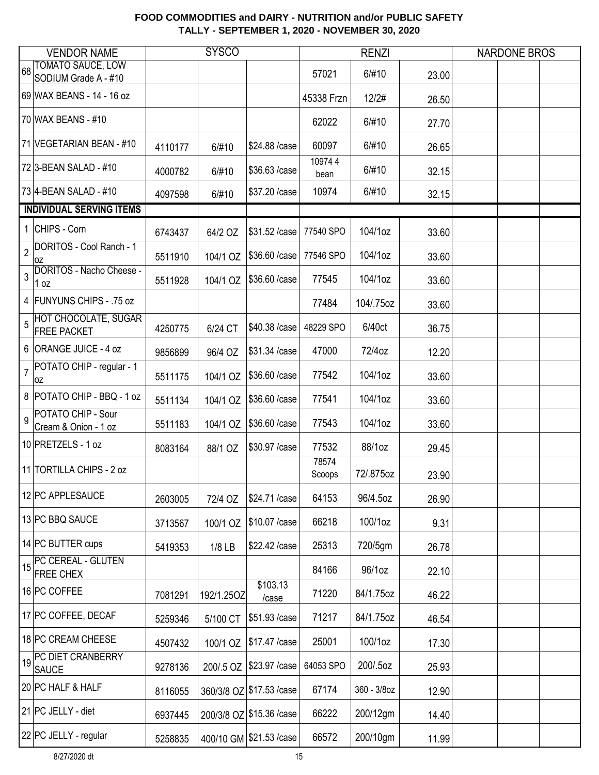|                | <b>VENDOR NAME</b>                                |         | <b>SYSCO</b> |                           |                 | <b>RENZI</b> |       | <b>NARDONE BROS</b> |  |
|----------------|---------------------------------------------------|---------|--------------|---------------------------|-----------------|--------------|-------|---------------------|--|
|                | TOMATO SAUCE, LOW<br>SODIUM Grade A - #10         |         |              |                           | 57021           | 6/#10        | 23.00 |                     |  |
|                | 69 WAX BEANS - 14 - 16 oz                         |         |              |                           | 45338 Frzn      | 12/2#        | 26.50 |                     |  |
|                | 70 WAX BEANS - #10                                |         |              |                           | 62022           | 6/#10        | 27.70 |                     |  |
|                | 71 VEGETARIAN BEAN - #10                          | 4110177 | 6/#10        | \$24.88 / case            | 60097           | 6/#10        | 26.65 |                     |  |
|                | 72 3-BEAN SALAD - #10                             | 4000782 | 6/#10        | \$36.63 /case             | 109744<br>bean  | 6/#10        | 32.15 |                     |  |
|                | 73 4-BEAN SALAD - #10                             | 4097598 | 6/#10        | \$37.20 / case            | 10974           | 6/#10        | 32.15 |                     |  |
|                | <b>INDIVIDUAL SERVING ITEMS</b>                   |         |              |                           |                 |              |       |                     |  |
|                | 1 CHIPS - Corn                                    | 6743437 | 64/2 OZ      | \$31.52 / case            | 77540 SPO       | 104/1oz      | 33.60 |                     |  |
| $\overline{2}$ | DORITOS - Cool Ranch - 1<br>0Z                    | 5511910 | 104/1 OZ     | \$36.60 / case            | 77546 SPO       | 104/1oz      | 33.60 |                     |  |
| 3              | DORITOS - Nacho Cheese -<br>1 oz                  | 5511928 | 104/1 OZ     | \$36.60 / case            | 77545           | 104/1oz      | 33.60 |                     |  |
|                | 4 FUNYUNS CHIPS - .75 oz                          |         |              |                           | 77484           | 104/.75oz    | 33.60 |                     |  |
| 5              | <b>HOT CHOCOLATE, SUGAR</b><br><b>FREE PACKET</b> | 4250775 | 6/24 CT      | \$40.38 /case             | 48229 SPO       | 6/40ct       | 36.75 |                     |  |
|                | 6 ORANGE JUICE - 4 oz                             | 9856899 | 96/4 OZ      | \$31.34 / case            | 47000           | 72/4oz       | 12.20 |                     |  |
| $\overline{7}$ | POTATO CHIP - regular - 1<br>0Z                   | 5511175 | 104/1 OZ     | \$36.60 / case            | 77542           | 104/1oz      | 33.60 |                     |  |
|                | 8 POTATO CHIP - BBQ - 1 oz                        | 5511134 | 104/1 OZ     | \$36.60 / case            | 77541           | 104/1oz      | 33.60 |                     |  |
| 9              | POTATO CHIP - Sour<br>Cream & Onion - 1 oz        | 5511183 | 104/1 OZ     | \$36.60 / case            | 77543           | 104/1oz      | 33.60 |                     |  |
|                | 10 PRETZELS - 1 oz                                | 8083164 | 88/1 OZ      | \$30.97 / case            | 77532           | 88/1oz       | 29.45 |                     |  |
|                | 11 TORTILLA CHIPS - 2 oz                          |         |              |                           | 78574<br>Scoops | 72/.875oz    | 23.90 |                     |  |
|                | 12 PC APPLESAUCE                                  | 2603005 | 72/4 OZ      | \$24.71 /case             | 64153           | 96/4.5oz     | 26.90 |                     |  |
|                | 13 PC BBQ SAUCE                                   | 3713567 | 100/1 OZ     | \$10.07 / case            | 66218           | 100/1oz      | 9.31  |                     |  |
|                | 14 PC BUTTER cups                                 | 5419353 | 1/8 LB       | \$22.42 / case            | 25313           | 720/5gm      | 26.78 |                     |  |
| 15             | <b>PC CEREAL - GLUTEN</b><br><b>FREE CHEX</b>     |         |              |                           | 84166           | 96/1oz       | 22.10 |                     |  |
|                | 16 PC COFFEE                                      | 7081291 | 192/1.25OZ   | \$103.13<br>/case         | 71220           | 84/1.75oz    | 46.22 |                     |  |
|                | 17 PC COFFEE, DECAF                               | 5259346 | 5/100 CT     | \$51.93 /case             | 71217           | 84/1.75oz    | 46.54 |                     |  |
|                | 18 PC CREAM CHEESE                                | 4507432 | 100/1 OZ     | \$17.47 / case            | 25001           | 100/1oz      | 17.30 |                     |  |
| 19             | PC DIET CRANBERRY<br><b>SAUCE</b>                 | 9278136 | 200/.5 OZ    | \$23.97 / case            | 64053 SPO       | 200/.5oz     | 25.93 |                     |  |
|                | 20 PC HALF & HALF                                 | 8116055 |              | 360/3/8 OZ \$17.53 / case | 67174           | 360 - 3/8oz  | 12.90 |                     |  |
|                | 21 PC JELLY - diet                                | 6937445 |              | 200/3/8 OZ \$15.36 / case | 66222           | 200/12gm     | 14.40 |                     |  |
|                | 22 PC JELLY - regular                             | 5258835 |              | 400/10 GM \$21.53 / case  | 66572           | 200/10gm     | 11.99 |                     |  |

8/27/2020 dt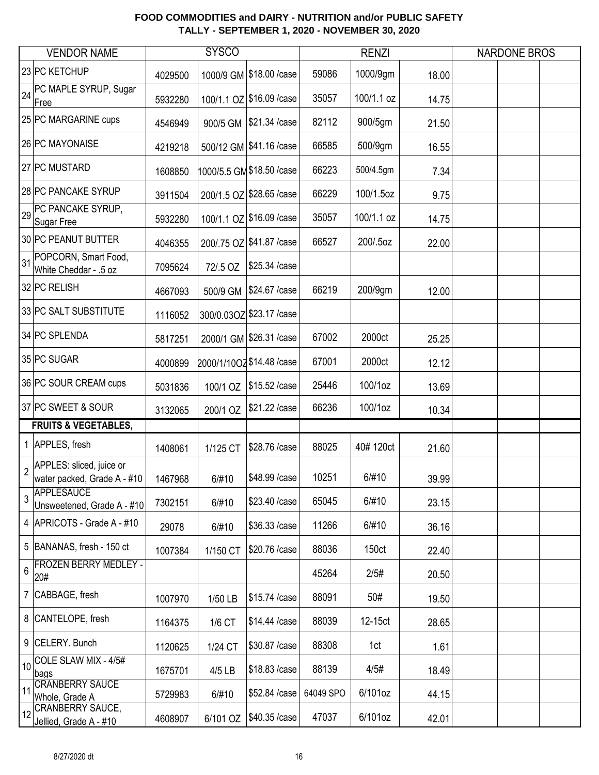|                | <b>VENDOR NAME</b>                                      |         | <b>SYSCO</b> |                            |           | <b>RENZI</b> |       | <b>NARDONE BROS</b> |  |
|----------------|---------------------------------------------------------|---------|--------------|----------------------------|-----------|--------------|-------|---------------------|--|
|                | 23 PC KETCHUP                                           | 4029500 |              | 1000/9 GM \$18.00 / case   | 59086     | 1000/9gm     | 18.00 |                     |  |
| 24             | PC MAPLE SYRUP, Sugar<br>Free                           | 5932280 |              | 100/1.1 OZ \$16.09 / case  | 35057     | 100/1.1 oz   | 14.75 |                     |  |
|                | 25 PC MARGARINE cups                                    | 4546949 |              | 900/5 GM   \$21.34 / case  | 82112     | 900/5gm      | 21.50 |                     |  |
|                | 26 PC MAYONAISE                                         | 4219218 |              | 500/12 GM \$41.16 /case    | 66585     | 500/9gm      | 16.55 |                     |  |
|                | 27 PC MUSTARD                                           | 1608850 |              | 1000/5.5 GM \$18.50 / case | 66223     | 500/4.5gm    | 7.34  |                     |  |
|                | 28 PC PANCAKE SYRUP                                     | 3911504 |              | 200/1.5 OZ \$28.65 / case  | 66229     | 100/1.5oz    | 9.75  |                     |  |
| 29             | PC PANCAKE SYRUP,<br>Sugar Free                         | 5932280 |              | 100/1.1 OZ \$16.09 / case  | 35057     | 100/1.1 oz   | 14.75 |                     |  |
|                | 30 PC PEANUT BUTTER                                     | 4046355 |              | 200/.75 OZ \$41.87 / case  | 66527     | 200/.5oz     | 22.00 |                     |  |
| 31             | POPCORN, Smart Food,<br>White Cheddar - .5 oz           | 7095624 | 72/.5 OZ     | \$25.34 /case              |           |              |       |                     |  |
|                | 32 PC RELISH                                            | 4667093 |              | 500/9 GM   \$24.67 / case  | 66219     | 200/9gm      | 12.00 |                     |  |
|                | 33 PC SALT SUBSTITUTE                                   | 1116052 |              | 300/0.03OZ \$23.17 / case  |           |              |       |                     |  |
|                | 34 PC SPLENDA                                           | 5817251 |              | 2000/1 GM \$26.31 / case   | 67002     | 2000ct       | 25.25 |                     |  |
|                | 35 PC SUGAR                                             | 4000899 |              | 2000/1/10OZ \$14.48 / case | 67001     | 2000ct       | 12.12 |                     |  |
|                | 36 PC SOUR CREAM cups                                   | 5031836 | 100/1 OZ     | \$15.52 / case             | 25446     | 100/1oz      | 13.69 |                     |  |
|                | 37 PC SWEET & SOUR                                      | 3132065 | 200/1 OZ     | \$21.22 / case             | 66236     | 100/1oz      | 10.34 |                     |  |
|                | <b>FRUITS &amp; VEGETABLES,</b>                         |         |              |                            |           |              |       |                     |  |
|                | 1 APPLES, fresh                                         | 1408061 | 1/125 CT     | \$28.76 /case              | 88025     | 40#120ct     | 21.60 |                     |  |
| $\overline{2}$ | APPLES: sliced, juice or<br>water packed, Grade A - #10 | 1467968 | 6/#10        | \$48.99 / case             | 10251     | 6/#10        | 39.99 |                     |  |
| 3              | APPLESAUCE<br>Unsweetened, Grade A - #10                | 7302151 | 6/#10        | \$23.40 / case             | 65045     | 6/#10        | 23.15 |                     |  |
|                | 4   APRICOTS - Grade A - #10                            | 29078   | 6/#10        | \$36.33 /case              | 11266     | 6/#10        | 36.16 |                     |  |
|                | 5 BANANAS, fresh - 150 ct                               | 1007384 | 1/150 CT     | \$20.76 /case              | 88036     | 150ct        | 22.40 |                     |  |
| 6              | <b>FROZEN BERRY MEDLEY -</b><br>20#                     |         |              |                            | 45264     | 2/5#         | 20.50 |                     |  |
|                | 7 CABBAGE, fresh                                        | 1007970 | 1/50 LB      | \$15.74 /case              | 88091     | 50#          | 19.50 |                     |  |
|                | 8 CANTELOPE, fresh                                      | 1164375 | 1/6 CT       | \$14.44 /case              | 88039     | 12-15ct      | 28.65 |                     |  |
|                | 9 CELERY. Bunch                                         | 1120625 | 1/24 CT      | \$30.87 / case             | 88308     | 1ct          | 1.61  |                     |  |
| 10             | COLE SLAW MIX - 4/5#<br>bags                            | 1675701 | 4/5 LB       | \$18.83 /case              | 88139     | 4/5#         | 18.49 |                     |  |
| 11             | <b>CRANBERRY SAUCE</b><br>Whole, Grade A                | 5729983 | 6/#10        | \$52.84 /case              | 64049 SPO | 6/101oz      | 44.15 |                     |  |
| 12             | <b>CRANBERRY SAUCE,</b><br>Jellied, Grade A - #10       | 4608907 | 6/101 OZ     | \$40.35 /case              | 47037     | 6/101oz      | 42.01 |                     |  |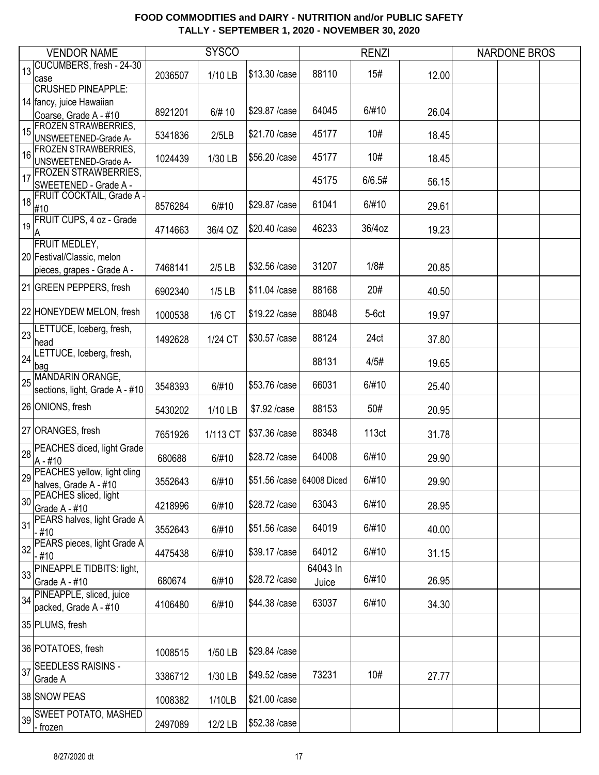|    | <b>VENDOR NAME</b>                                       |         | <b>SYSCO</b> |                            |                   | <b>RENZI</b> |       | <b>NARDONE BROS</b> |  |
|----|----------------------------------------------------------|---------|--------------|----------------------------|-------------------|--------------|-------|---------------------|--|
| 13 | CUCUMBERS, fresh - 24-30<br>case                         | 2036507 | 1/10 LB      | \$13.30 / case             | 88110             | 15#          | 12.00 |                     |  |
|    | <b>CRUSHED PINEAPPLE:</b>                                |         |              |                            |                   |              |       |                     |  |
|    | 14 fancy, juice Hawaiian<br>Coarse, Grade A - #10        | 8921201 | 6/# 10       | \$29.87 / case             | 64045             | 6/#10        | 26.04 |                     |  |
| 15 | FROZEN STRAWBERRIES,                                     | 5341836 | 2/5LB        | \$21.70 / case             | 45177             | 10#          | 18.45 |                     |  |
| 16 | <b>UNSWEETENED-Grade A-</b><br>FROZEN STRAWBERRIES,      | 1024439 | 1/30 LB      | \$56.20 / case             | 45177             | 10#          | 18.45 |                     |  |
| 17 | UNSWEETENED-Grade A-<br><b>FROZEN STRAWBERRIES,</b>      |         |              |                            | 45175             | 6/6.5#       |       |                     |  |
|    | SWEETENED - Grade A -<br>18 FRUIT COCKTAIL, Grade A -    |         |              |                            |                   |              | 56.15 |                     |  |
|    | #10                                                      | 8576284 | 6/#10        | \$29.87 / case             | 61041             | 6/#10        | 29.61 |                     |  |
|    | 19 FRUIT CUPS, 4 oz - Grade<br>Α                         | 4714663 | 36/4 OZ      | \$20.40 / case             | 46233             | 36/4oz       | 19.23 |                     |  |
|    | <b>FRUIT MEDLEY,</b>                                     |         |              |                            |                   |              |       |                     |  |
|    | 20 Festival/Classic, melon<br>pieces, grapes - Grade A - | 7468141 | $2/5$ LB     | \$32.56 / case             | 31207             | 1/8#         | 20.85 |                     |  |
|    | 21 GREEN PEPPERS, fresh                                  | 6902340 | $1/5$ LB     | \$11.04 / case             | 88168             | 20#          | 40.50 |                     |  |
|    | 22 HONEYDEW MELON, fresh                                 | 1000538 | 1/6 CT       | \$19.22 / case             | 88048             | $5-6ct$      | 19.97 |                     |  |
| 23 | LETTUCE, Iceberg, fresh,<br>head                         | 1492628 | 1/24 CT      | \$30.57 / case             | 88124             | 24ct         | 37.80 |                     |  |
| 24 | LETTUCE, Iceberg, fresh,<br>bag                          |         |              |                            | 88131             | 4/5#         | 19.65 |                     |  |
| 25 | MANDARIN ORANGE,<br>sections, light, Grade A - #10       | 3548393 | 6/#10        | \$53.76 / case             | 66031             | 6/#10        | 25.40 |                     |  |
|    | 26 ONIONS, fresh                                         | 5430202 | 1/10 LB      | \$7.92 /case               | 88153             | 50#          | 20.95 |                     |  |
|    | 27 ORANGES, fresh                                        | 7651926 | 1/113 CT     | \$37.36 /case              | 88348             | 113ct        | 31.78 |                     |  |
|    | 28 PEACHES diced, light Grade<br>$A - #10$               | 680688  | 6/#10        | \$28.72 / case             | 64008             | 6/#10        | 29.90 |                     |  |
|    | 29 PEACHES yellow, light cling<br>halves, Grade A - #10  | 3552643 | 6/#10        | \$51.56 / case 64008 Diced |                   | 6/#10        | 29.90 |                     |  |
| 30 | PEACHES sliced, light<br>Grade A - #10                   | 4218996 | 6/#10        | \$28.72 / case             | 63043             | 6/#10        | 28.95 |                     |  |
| 31 | PEARS halves, light Grade A<br>- #10                     | 3552643 | 6/#10        | \$51.56 /case              | 64019             | 6/#10        | 40.00 |                     |  |
|    | 32 PEARS pieces, light Grade A<br>- #10                  | 4475438 | 6/#10        | \$39.17 / case             | 64012             | 6/#10        | 31.15 |                     |  |
|    | 33 PINEAPPLE TIDBITS: light,<br>Grade A - #10            | 680674  | 6/#10        | \$28.72 / case             | 64043 In<br>Juice | 6/#10        | 26.95 |                     |  |
|    | 34 PINEAPPLE, sliced, juice<br>packed, Grade A - #10     | 4106480 | 6/#10        | \$44.38 / case             | 63037             | 6/#10        | 34.30 |                     |  |
|    | 35 PLUMS, fresh                                          |         |              |                            |                   |              |       |                     |  |
|    | 36 POTATOES, fresh                                       | 1008515 | 1/50 LB      | \$29.84 / case             |                   |              |       |                     |  |
|    | 37 SEEDLESS RAISINS -<br>Grade A                         | 3386712 | 1/30 LB      | \$49.52 / case             | 73231             | 10#          | 27.77 |                     |  |
|    | 38 SNOW PEAS                                             | 1008382 | 1/10LB       | \$21.00 / case             |                   |              |       |                     |  |
|    | 39 SWEET POTATO, MASHED<br>- frozen                      | 2497089 | 12/2 LB      | \$52.38 / case             |                   |              |       |                     |  |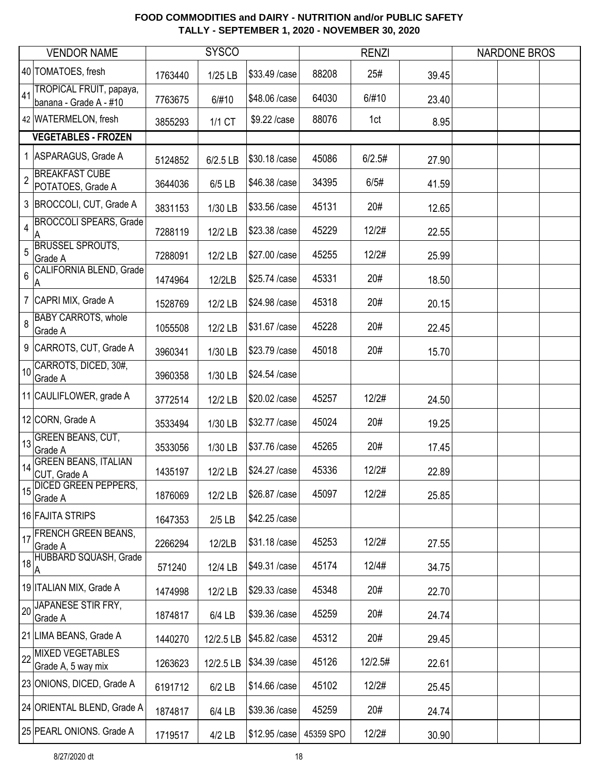|                | <b>VENDOR NAME</b>                                |         | <b>SYSCO</b> |                |           | <b>RENZI</b> |       | <b>NARDONE BROS</b> |  |
|----------------|---------------------------------------------------|---------|--------------|----------------|-----------|--------------|-------|---------------------|--|
|                | 40 TOMATOES, fresh                                | 1763440 | 1/25 LB      | \$33.49 / case | 88208     | 25#          | 39.45 |                     |  |
| 41             | TROPICAL FRUIT, papaya,<br>banana - Grade A - #10 | 7763675 | 6/#10        | \$48.06 / case | 64030     | 6/#10        | 23.40 |                     |  |
|                | 42 WATERMELON, fresh                              | 3855293 | 1/1 CT       | \$9.22 /case   | 88076     | 1ct          | 8.95  |                     |  |
|                | <b>VEGETABLES - FROZEN</b>                        |         |              |                |           |              |       |                     |  |
|                | 1 ASPARAGUS, Grade A                              | 5124852 | 6/2.5 LB     | \$30.18 /case  | 45086     | 6/2.5#       | 27.90 |                     |  |
| $\overline{2}$ | <b>BREAKFAST CUBE</b><br>POTATOES, Grade A        | 3644036 | 6/5 LB       | \$46.38 / case | 34395     | 6/5#         | 41.59 |                     |  |
|                | 3 BROCCOLI, CUT, Grade A                          | 3831153 | 1/30 LB      | \$33.56 /case  | 45131     | 20#          | 12.65 |                     |  |
| 4              | <b>BROCCOLI SPEARS, Grade</b><br>Α                | 7288119 | 12/2 LB      | \$23.38 / case | 45229     | 12/2#        | 22.55 |                     |  |
| 5              | <b>BRUSSEL SPROUTS,</b><br>Grade A                | 7288091 | 12/2 LB      | \$27.00 / case | 45255     | 12/2#        | 25.99 |                     |  |
| 6              | <b>CALIFORNIA BLEND, Grade</b><br>Α               | 1474964 | 12/2LB       | \$25.74 / case | 45331     | 20#          | 18.50 |                     |  |
|                | 7 CAPRI MIX, Grade A                              | 1528769 | 12/2 LB      | \$24.98 /case  | 45318     | 20#          | 20.15 |                     |  |
| 8              | <b>BABY CARROTS, whole</b><br>Grade A             | 1055508 | 12/2 LB      | \$31.67 / case | 45228     | 20#          | 22.45 |                     |  |
|                | 9 CARROTS, CUT, Grade A                           | 3960341 | 1/30 LB      | \$23.79 / case | 45018     | 20#          | 15.70 |                     |  |
| 10             | CARROTS, DICED, 30#,<br>Grade A                   | 3960358 | 1/30 LB      | \$24.54 /case  |           |              |       |                     |  |
|                | 11 CAULIFLOWER, grade A                           | 3772514 | 12/2 LB      | \$20.02 / case | 45257     | 12/2#        | 24.50 |                     |  |
|                | 12 CORN, Grade A                                  | 3533494 | 1/30 LB      | \$32.77 / case | 45024     | 20#          | 19.25 |                     |  |
|                | 13 GREEN BEANS, CUT,<br>Grade A                   | 3533056 | 1/30 LB      | \$37.76 /case  | 45265     | 20#          | 17.45 |                     |  |
| 14             | <b>GREEN BEANS, ITALIAN</b><br>CUT, Grade A       | 1435197 | 12/2 LB      | \$24.27 / case | 45336     | 12/2#        | 22.89 |                     |  |
|                | 15 DICED GREEN PEPPERS,<br>Grade A                | 1876069 | 12/2 LB      | \$26.87 / case | 45097     | 12/2#        | 25.85 |                     |  |
|                | 16 FAJITA STRIPS                                  | 1647353 | $2/5$ LB     | \$42.25 / case |           |              |       |                     |  |
| $17$           | <b>FRENCH GREEN BEANS,</b><br>Grade A             | 2266294 | 12/2LB       | \$31.18 /case  | 45253     | 12/2#        | 27.55 |                     |  |
|                | 18 HUBBARD SQUASH, Grade<br>A                     | 571240  | 12/4 LB      | \$49.31 /case  | 45174     | 12/4#        | 34.75 |                     |  |
|                | 19 ITALIAN MIX, Grade A                           | 1474998 | 12/2 LB      | \$29.33 / case | 45348     | 20#          | 22.70 |                     |  |
| 20             | JAPANESE STIR FRY,<br>Grade A                     | 1874817 | 6/4 LB       | \$39.36 /case  | 45259     | 20#          | 24.74 |                     |  |
|                | 21 LIMA BEANS, Grade A                            | 1440270 | 12/2.5 LB    | \$45.82 / case | 45312     | 20#          | 29.45 |                     |  |
| 22             | <b>MIXED VEGETABLES</b><br>Grade A, 5 way mix     | 1263623 | 12/2.5 LB    | \$34.39 / case | 45126     | 12/2.5#      | 22.61 |                     |  |
|                | 23 ONIONS, DICED, Grade A                         | 6191712 | $6/2$ LB     | \$14.66 /case  | 45102     | 12/2#        | 25.45 |                     |  |
|                | 24 ORIENTAL BLEND, Grade A                        | 1874817 | 6/4 LB       | \$39.36 / case | 45259     | 20#          | 24.74 |                     |  |
|                | 25 PEARL ONIONS. Grade A                          | 1719517 | $4/2$ LB     | \$12.95 / case | 45359 SPO | 12/2#        | 30.90 |                     |  |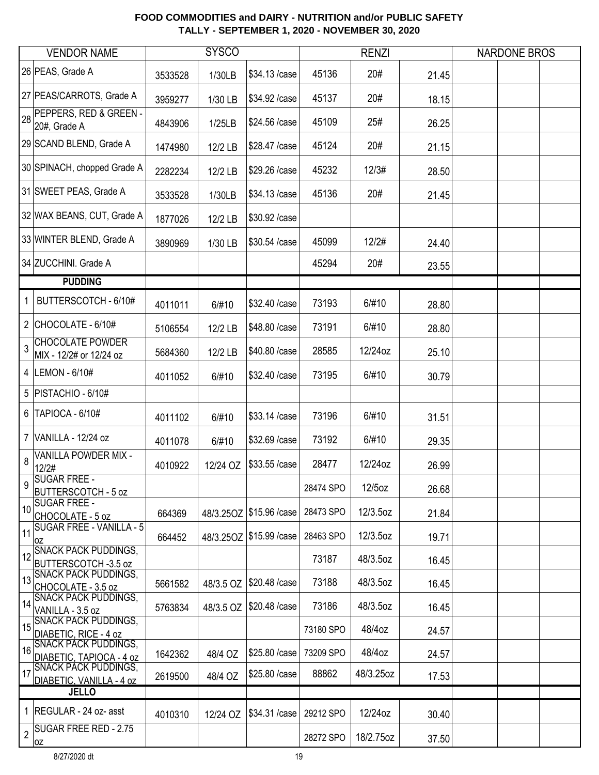|              | <b>VENDOR NAME</b>                                      |         | <b>SYSCO</b> |                            |           | <b>RENZI</b> |       | <b>NARDONE BROS</b> |  |
|--------------|---------------------------------------------------------|---------|--------------|----------------------------|-----------|--------------|-------|---------------------|--|
|              | 26 PEAS, Grade A                                        | 3533528 | 1/30LB       | \$34.13 /case              | 45136     | 20#          | 21.45 |                     |  |
|              | 27 PEAS/CARROTS, Grade A                                | 3959277 | 1/30 LB      | \$34.92 / case             | 45137     | 20#          | 18.15 |                     |  |
| 28           | PEPPERS, RED & GREEN -<br>20#, Grade A                  | 4843906 | 1/25LB       | \$24.56 /case              | 45109     | 25#          | 26.25 |                     |  |
|              | 29 SCAND BLEND, Grade A                                 | 1474980 | 12/2 LB      | \$28.47 / case             | 45124     | 20#          | 21.15 |                     |  |
|              | 30 SPINACH, chopped Grade A                             | 2282234 | 12/2 LB      | \$29.26 / case             | 45232     | 12/3#        | 28.50 |                     |  |
|              | 31 SWEET PEAS, Grade A                                  | 3533528 | 1/30LB       | \$34.13 /case              | 45136     | 20#          | 21.45 |                     |  |
|              | 32 WAX BEANS, CUT, Grade A                              | 1877026 | 12/2 LB      | \$30.92 / case             |           |              |       |                     |  |
|              | 33 WINTER BLEND, Grade A                                | 3890969 | 1/30 LB      | \$30.54 /case              | 45099     | 12/2#        | 24.40 |                     |  |
|              | 34 ZUCCHINI. Grade A                                    |         |              |                            | 45294     | 20#          | 23.55 |                     |  |
|              | <b>PUDDING</b>                                          |         |              |                            |           |              |       |                     |  |
| $\mathbf{1}$ | BUTTERSCOTCH - 6/10#                                    | 4011011 | 6/#10        | \$32.40 / case             | 73193     | 6/#10        | 28.80 |                     |  |
|              | 2 CHOCOLATE - $6/10#$                                   | 5106554 | 12/2 LB      | \$48.80 / case             | 73191     | 6/#10        | 28.80 |                     |  |
|              | 3 CHOCOLATE POWDER<br>MIX - 12/2# or 12/24 oz           | 5684360 | 12/2 LB      | \$40.80 / case             | 28585     | 12/24oz      | 25.10 |                     |  |
|              | 4  LEMON - 6/10#                                        | 4011052 | 6/#10        | \$32.40 / case             | 73195     | 6/#10        | 30.79 |                     |  |
|              | 5   PISTACHIO - 6/10#                                   |         |              |                            |           |              |       |                     |  |
|              | 6   TAPIOCA - 6/10#                                     | 4011102 | 6/#10        | \$33.14 /case              | 73196     | 6/#10        | 31.51 |                     |  |
|              | 7 VANILLA - 12/24 oz                                    | 4011078 | 6/#10        | \$32.69 / case             | 73192     | 6/#10        | 29.35 |                     |  |
| 8            | VANILLA POWDER MIX -<br>12/2#                           | 4010922 | 12/24 OZ     | \$33.55 /case              | 28477     | 12/24oz      | 26.99 |                     |  |
| 9            | <b>SUGAR FREE -</b><br><b>BUTTERSCOTCH - 5 oz</b>       |         |              |                            | 28474 SPO | 12/5oz       | 26.68 |                     |  |
| 10           | <b>SUGAR FREE -</b><br>CHOCOLATE - 5 oz                 | 664369  |              | 48/3.25OZ   \$15.96 / case | 28473 SPO | 12/3.5oz     | 21.84 |                     |  |
| 11           | <b>SUGAR FREE - VANILLA - 5</b><br>0Z                   | 664452  |              | 48/3.25OZ \$15.99 / case   | 28463 SPO | 12/3.5oz     | 19.71 |                     |  |
| 12           | <b>SNACK PACK PUDDINGS,</b><br>BUTTERSCOTCH -3.5 oz     |         |              |                            | 73187     | 48/3.5oz     | 16.45 |                     |  |
| 13           | <b>SNACK PACK PUDDINGS,</b><br>CHOCOLATE - 3.5 oz       | 5661582 | 48/3.5 OZ    | \$20.48 /case              | 73188     | 48/3.5oz     | 16.45 |                     |  |
| 14           | <b>SNACK PACK PUDDINGS,</b><br>VANILLA - 3.5 oz         | 5763834 | 48/3.5 OZ    | \$20.48 / case             | 73186     | 48/3.5oz     | 16.45 |                     |  |
| 15           | <b>SNACK PACK PUDDINGS,</b><br>DIABETIC, RICE - 4 oz    |         |              |                            | 73180 SPO | 48/4oz       | 24.57 |                     |  |
| 16           | <b>SNACK PACK PUDDINGS,</b><br>DIABETIC, TAPIOCA - 4 oz | 1642362 | 48/4 OZ      | \$25.80 / case             | 73209 SPO | 48/4oz       | 24.57 |                     |  |
| 17           | <b>SNACK PACK PUDDINGS,</b><br>DIABETIC, VANILLA - 4 oz | 2619500 | 48/4 OZ      | \$25.80 / case             | 88862     | 48/3.25oz    | 17.53 |                     |  |
|              | <b>JELLO</b>                                            |         |              |                            |           |              |       |                     |  |
|              | 1   REGULAR - 24 oz- asst                               | 4010310 | 12/24 OZ     | \$34.31 /case              | 29212 SPO | 12/24oz      | 30.40 |                     |  |
| $\sqrt{2}$   | <b>SUGAR FREE RED - 2.75</b><br>0Z                      |         |              |                            | 28272 SPO | 18/2.75oz    | 37.50 |                     |  |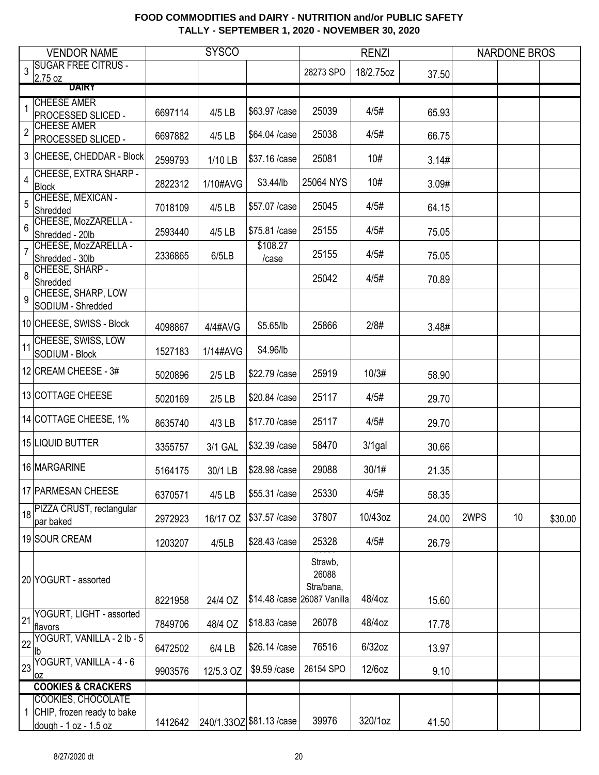|                | <b>VENDOR NAME</b>                                    |         | <b>SYSCO</b> |                             |                                | <b>RENZI</b> |       |      | <b>NARDONE BROS</b> |         |
|----------------|-------------------------------------------------------|---------|--------------|-----------------------------|--------------------------------|--------------|-------|------|---------------------|---------|
| 3              | <b>SUGAR FREE CITRUS -</b><br>2.75 oz                 |         |              |                             | 28273 SPO                      | 18/2.75oz    | 37.50 |      |                     |         |
|                | <b>DAIRY</b>                                          |         |              |                             |                                |              |       |      |                     |         |
| 1              | <b>CHEESE AMER</b><br>PROCESSED SLICED -              | 6697114 | 4/5 LB       | \$63.97 / case              | 25039                          | 4/5#         | 65.93 |      |                     |         |
| $\overline{2}$ | <b>CHEESE AMER</b><br>PROCESSED SLICED -              | 6697882 | 4/5 LB       | \$64.04 / case              | 25038                          | 4/5#         | 66.75 |      |                     |         |
|                | 3 CHEESE, CHEDDAR - Block                             | 2599793 | 1/10 LB      | \$37.16 /case               | 25081                          | 10#          | 3.14# |      |                     |         |
| 4              | CHEESE, EXTRA SHARP -<br><b>Block</b>                 | 2822312 | 1/10#AVG     | \$3.44/lb                   | 25064 NYS                      | 10#          | 3.09# |      |                     |         |
| 5              | CHEESE, MEXICAN -<br>Shredded                         | 7018109 | 4/5 LB       | \$57.07 / case              | 25045                          | 4/5#         | 64.15 |      |                     |         |
| 6              | CHEESE, MozZARELLA -<br>Shredded - 20lb               | 2593440 | 4/5 LB       | \$75.81 /case               | 25155                          | 4/5#         | 75.05 |      |                     |         |
| 7              | CHEESE, MozZARELLA -<br>Shredded - 30lb               | 2336865 | 6/5LB        | \$108.27<br>/case           | 25155                          | 4/5#         | 75.05 |      |                     |         |
| 8              | CHEESE, SHARP -<br>Shredded                           |         |              |                             | 25042                          | 4/5#         | 70.89 |      |                     |         |
| 9              | CHEESE, SHARP, LOW<br>SODIUM - Shredded               |         |              |                             |                                |              |       |      |                     |         |
|                | 10 CHEESE, SWISS - Block                              | 4098867 | 4/4#AVG      | \$5.65/lb                   | 25866                          | 2/8#         | 3.48# |      |                     |         |
| 11             | CHEESE, SWISS, LOW<br>SODIUM - Block                  | 1527183 | 1/14#AVG     | \$4.96/lb                   |                                |              |       |      |                     |         |
|                | 12 CREAM CHEESE - 3#                                  | 5020896 | $2/5$ LB     | \$22.79 / case              | 25919                          | 10/3#        | 58.90 |      |                     |         |
|                | 13 COTTAGE CHEESE                                     | 5020169 | $2/5$ LB     | \$20.84 /case               | 25117                          | 4/5#         | 29.70 |      |                     |         |
|                | 14 COTTAGE CHEESE, 1%                                 | 8635740 | 4/3 LB       | \$17.70 / case              | 25117                          | 4/5#         | 29.70 |      |                     |         |
|                | 15 LIQUID BUTTER                                      | 3355757 | 3/1 GAL      | \$32.39 / case              | 58470                          | $3/1$ gal    | 30.66 |      |                     |         |
|                | 16 MARGARINE                                          | 5164175 | 30/1 LB      | \$28.98 / case              | 29088                          | 30/1#        | 21.35 |      |                     |         |
|                | 17 PARMESAN CHEESE                                    | 6370571 | 4/5 LB       | \$55.31 /case               | 25330                          | 4/5#         | 58.35 |      |                     |         |
|                | 18 PIZZA CRUST, rectangular<br>par baked              | 2972923 | 16/17 OZ     | \$37.57 / case              | 37807                          | 10/43oz      | 24.00 | 2WPS | 10                  | \$30.00 |
|                | 19 SOUR CREAM                                         | 1203207 | 4/5LB        | \$28.43 /case               | 25328                          | 4/5#         | 26.79 |      |                     |         |
|                | 20 YOGURT - assorted                                  | 8221958 | 24/4 OZ      | \$14.48 /case 26087 Vanilla | Strawb,<br>26088<br>Stra/bana, | 48/4oz       | 15.60 |      |                     |         |
| 21             | YOGURT, LIGHT - assorted                              | 7849706 | 48/4 OZ      | \$18.83 / case              | 26078                          | 48/4oz       | 17.78 |      |                     |         |
| 22             | flavors<br>YOGURT, VANILLA - 2 lb - 5                 | 6472502 | 6/4 LB       | \$26.14 /case               | 76516                          | $6/32$ oz    | 13.97 |      |                     |         |
| 23             | lb.<br>YOGURT, VANILLA - 4 - 6                        | 9903576 | 12/5.3 OZ    | \$9.59 /case                | 26154 SPO                      | 12/6oz       | 9.10  |      |                     |         |
|                | <b>OZ</b><br><b>COOKIES &amp; CRACKERS</b>            |         |              |                             |                                |              |       |      |                     |         |
|                | <b>COOKIES, CHOCOLATE</b>                             |         |              |                             |                                |              |       |      |                     |         |
|                | 1 CHIP, frozen ready to bake<br>dough - 1 oz - 1.5 oz | 1412642 |              | 240/1.33OZ \$81.13 / case   | 39976                          | 320/1oz      | 41.50 |      |                     |         |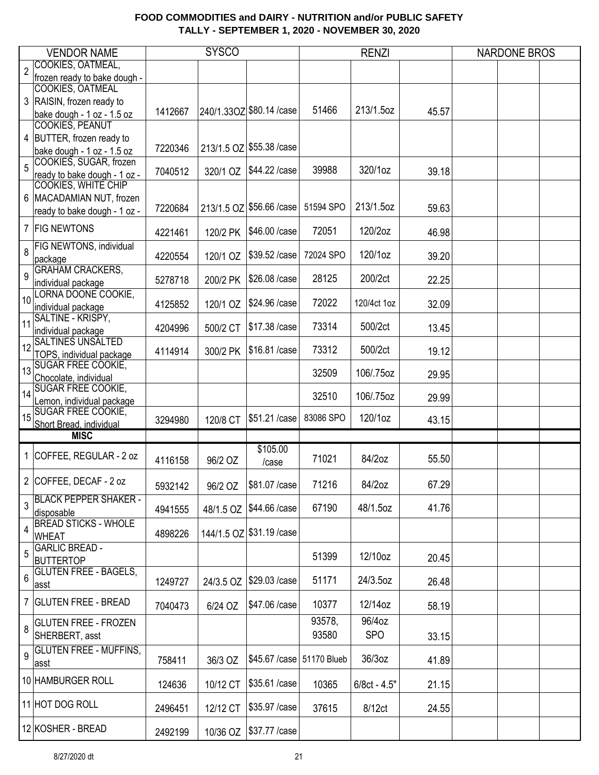|                | <b>VENDOR NAME</b>                                    |         | <b>SYSCO</b> |                            |           | <b>RENZI</b> |       | <b>NARDONE BROS</b> |  |
|----------------|-------------------------------------------------------|---------|--------------|----------------------------|-----------|--------------|-------|---------------------|--|
|                | COOKIES, OATMEAL,                                     |         |              |                            |           |              |       |                     |  |
| $\overline{2}$ | frozen ready to bake dough -                          |         |              |                            |           |              |       |                     |  |
|                | COOKIES, OATMEAL                                      |         |              |                            |           |              |       |                     |  |
|                | 3 RAISIN, frozen ready to                             |         |              |                            |           |              |       |                     |  |
|                | bake dough - 1 oz - 1.5 oz                            | 1412667 |              | 240/1.33OZ \$80.14 / case  | 51466     | 213/1.5oz    | 45.57 |                     |  |
|                | <b>COOKIES, PEANUT</b>                                |         |              |                            |           |              |       |                     |  |
|                | 4 BUTTER, frozen ready to                             |         |              |                            |           |              |       |                     |  |
|                | bake dough - 1 oz - 1.5 oz                            | 7220346 |              | 213/1.5 OZ \$55.38 / case  |           |              |       |                     |  |
| 5              | COOKIES, SUGAR, frozen                                | 7040512 | 320/1 OZ     | \$44.22 / case             | 39988     | 320/1oz      | 39.18 |                     |  |
|                | ready to bake dough - 1 oz -<br>COOKIES, WHITE CHIP   |         |              |                            |           |              |       |                     |  |
|                | 6   MACADAMIAN NUT, frozen                            |         |              |                            |           |              |       |                     |  |
|                |                                                       | 7220684 |              | 213/1.5 OZ \$56.66 / case  | 51594 SPO | 213/1.5oz    | 59.63 |                     |  |
|                | ready to bake dough - 1 oz -                          |         |              |                            |           |              |       |                     |  |
|                | 7 FIG NEWTONS                                         | 4221461 | 120/2 PK     | \$46.00 / case             | 72051     | 120/2oz      | 46.98 |                     |  |
|                | FIG NEWTONS, individual                               |         |              |                            |           |              |       |                     |  |
| 8              | package                                               | 4220554 | 120/1 OZ     | \$39.52 / case             | 72024 SPO | 120/1oz      | 39.20 |                     |  |
| 9              | <b>GRAHAM CRACKERS,</b>                               |         |              |                            |           |              |       |                     |  |
|                | individual package                                    | 5278718 | 200/2 PK     | \$26.08 / case             | 28125     | 200/2ct      | 22.25 |                     |  |
| 10             | LORNA DOONE COOKIE,                                   |         |              |                            |           |              |       |                     |  |
|                | individual package                                    | 4125852 | 120/1 OZ     | \$24.96 /case              | 72022     | 120/4ct 1oz  | 32.09 |                     |  |
| 11             | SALTINE - KRISPY,                                     |         |              | \$17.38 / case             | 73314     | 500/2ct      |       |                     |  |
|                | individual package                                    | 4204996 | 500/2 CT     |                            |           |              | 13.45 |                     |  |
| 12             | <b>SALTINES UNSALTED</b>                              | 4114914 | 300/2 PK     | \$16.81 /case              | 73312     | 500/2ct      | 19.12 |                     |  |
|                | TOPS, individual package<br><b>SUGAR FREE COOKIE,</b> |         |              |                            |           |              |       |                     |  |
| 13             | Chocolate, individual                                 |         |              |                            | 32509     | 106/.75oz    | 29.95 |                     |  |
|                | <b>SUGAR FREE COOKIE,</b>                             |         |              |                            |           |              |       |                     |  |
| 14             | Lemon, individual package                             |         |              |                            | 32510     | 106/.75oz    | 29.99 |                     |  |
| 15             | <b>SUGAR FREE COOKIE,</b>                             |         |              | \$51.21 /case              | 83086 SPO | 120/1oz      |       |                     |  |
|                | Short Bread, individual                               | 3294980 | 120/8 CT     |                            |           |              | 43.15 |                     |  |
|                | <b>MISC</b>                                           |         |              |                            |           |              |       |                     |  |
|                | 1 COFFEE, REGULAR - 2 oz                              |         |              | \$105.00                   | 71021     | 84/2oz       |       |                     |  |
|                |                                                       | 4116158 | 96/2 OZ      | /case                      |           |              | 55.50 |                     |  |
|                | 2 COFFEE, DECAF - 2 oz                                |         |              |                            |           |              |       |                     |  |
|                |                                                       | 5932142 | 96/2 OZ      | \$81.07 / case             | 71216     | 84/2oz       | 67.29 |                     |  |
| 3              | <b>BLACK PEPPER SHAKER -</b>                          | 4941555 | 48/1.5 OZ    | \$44.66 /case              | 67190     | 48/1.5oz     | 41.76 |                     |  |
|                | disposable                                            |         |              |                            |           |              |       |                     |  |
| 4              | <b>BREAD STICKS - WHOLE</b>                           | 4898226 |              | 144/1.5 OZ \$31.19 / case  |           |              |       |                     |  |
|                | <b>WHEAT</b><br><b>GARLIC BREAD -</b>                 |         |              |                            |           |              |       |                     |  |
| 5              | <b>BUTTERTOP</b>                                      |         |              |                            | 51399     | 12/10oz      | 20.45 |                     |  |
|                | <b>GLUTEN FREE - BAGELS,</b>                          |         |              |                            |           |              |       |                     |  |
| 6              | asst                                                  | 1249727 | 24/3.5 OZ    | \$29.03 /case              | 51171     | 24/3.5oz     | 26.48 |                     |  |
|                |                                                       |         |              |                            |           |              |       |                     |  |
|                | 7 GLUTEN FREE - BREAD                                 | 7040473 | 6/24 OZ      | \$47.06 /case              | 10377     | 12/14oz      | 58.19 |                     |  |
|                | <b>GLUTEN FREE - FROZEN</b>                           |         |              |                            | 93578,    | 96/4oz       |       |                     |  |
| 8              | SHERBERT, asst                                        |         |              |                            | 93580     | <b>SPO</b>   | 33.15 |                     |  |
|                | <b>GLUTEN FREE - MUFFINS,</b>                         |         |              |                            |           |              |       |                     |  |
| $9\,$          | asst                                                  | 758411  | 36/3 OZ      | \$45.67 / case 51170 Blueb |           | 36/3oz       | 41.89 |                     |  |
|                |                                                       |         |              |                            |           |              |       |                     |  |
|                | 10 HAMBURGER ROLL                                     | 124636  | 10/12 CT     | \$35.61 /case              | 10365     | 6/8ct - 4.5" | 21.15 |                     |  |
|                | 11 HOT DOG ROLL                                       |         |              |                            |           |              |       |                     |  |
|                |                                                       | 2496451 | 12/12 CT     | \$35.97 / case             | 37615     | 8/12ct       | 24.55 |                     |  |
|                | 12 KOSHER - BREAD                                     |         |              | \$37.77 / case             |           |              |       |                     |  |
|                |                                                       | 2492199 | 10/36 OZ     |                            |           |              |       |                     |  |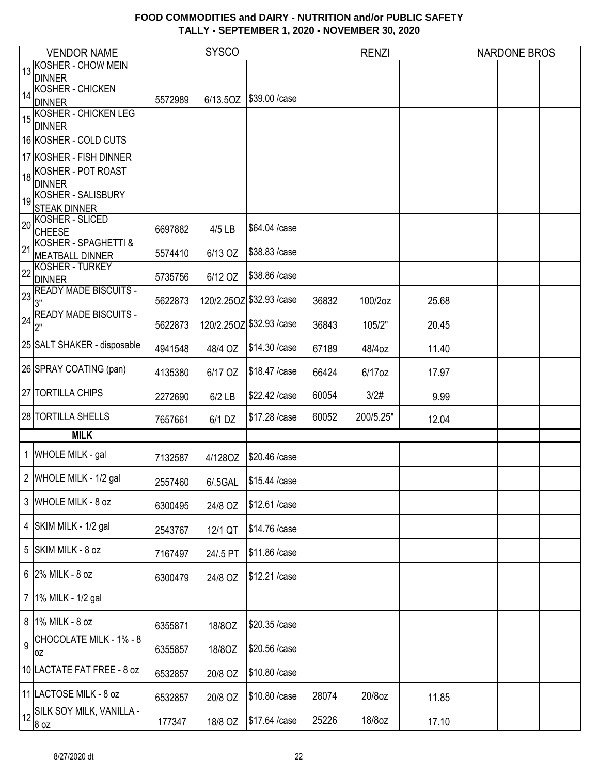|    | <b>VENDOR NAME</b>           |         | <b>SYSCO</b> |                           |       | <b>RENZI</b> |       | <b>NARDONE BROS</b> |  |
|----|------------------------------|---------|--------------|---------------------------|-------|--------------|-------|---------------------|--|
|    | <b>KOSHER - CHOW MEIN</b>    |         |              |                           |       |              |       |                     |  |
| 13 | <b>DINNER</b>                |         |              |                           |       |              |       |                     |  |
|    | <b>KOSHER - CHICKEN</b>      |         |              |                           |       |              |       |                     |  |
| 14 | <b>DINNER</b>                | 5572989 | 6/13.5OZ     | \$39.00 / case            |       |              |       |                     |  |
|    | <b>KOSHER - CHICKEN LEG</b>  |         |              |                           |       |              |       |                     |  |
| 15 | <b>DINNER</b>                |         |              |                           |       |              |       |                     |  |
|    | 16 KOSHER - COLD CUTS        |         |              |                           |       |              |       |                     |  |
|    |                              |         |              |                           |       |              |       |                     |  |
|    | 17 KOSHER - FISH DINNER      |         |              |                           |       |              |       |                     |  |
| 18 | KOSHER - POT ROAST           |         |              |                           |       |              |       |                     |  |
|    | <b>DINNER</b>                |         |              |                           |       |              |       |                     |  |
|    | 19 KOSHER - SALISBURY        |         |              |                           |       |              |       |                     |  |
|    | <b>STEAK DINNER</b>          |         |              |                           |       |              |       |                     |  |
| 20 | <b>KOSHER - SLICED</b>       |         |              | \$64.04 /case             |       |              |       |                     |  |
|    | <b>CHEESE</b>                | 6697882 | 4/5 LB       |                           |       |              |       |                     |  |
| 21 | KOSHER - SPAGHETTI &         |         |              | \$38.83 /case             |       |              |       |                     |  |
|    | <b>MEATBALL DINNER</b>       | 5574410 | 6/13 OZ      |                           |       |              |       |                     |  |
| 22 | <b>KOSHER - TURKEY</b>       |         |              | \$38.86 /case             |       |              |       |                     |  |
|    | <b>DINNER</b>                | 5735756 | 6/12 OZ      |                           |       |              |       |                     |  |
| 23 | <b>READY MADE BISCUITS -</b> |         |              | 120/2.25OZ \$32.93 / case |       |              |       |                     |  |
|    | 3"                           | 5622873 |              |                           | 36832 | 100/2oz      | 25.68 |                     |  |
| 24 | <b>READY MADE BISCUITS -</b> | 5622873 |              | 120/2.25OZ \$32.93 / case | 36843 | 105/2"       | 20.45 |                     |  |
|    | 2"                           |         |              |                           |       |              |       |                     |  |
|    | 25 SALT SHAKER - disposable  |         |              | \$14.30 / case            |       |              |       |                     |  |
|    |                              | 4941548 | 48/4 OZ      |                           | 67189 | 48/4oz       | 11.40 |                     |  |
|    | 26 SPRAY COATING (pan)       |         |              | \$18.47 / case            |       |              |       |                     |  |
|    |                              | 4135380 | 6/17 OZ      |                           | 66424 | 6/17oz       | 17.97 |                     |  |
|    | 27 TORTILLA CHIPS            | 2272690 | $6/2$ LB     | \$22.42 /case             | 60054 | 3/2#         | 9.99  |                     |  |
|    |                              |         |              |                           |       |              |       |                     |  |
|    | <b>28 TORTILLA SHELLS</b>    | 7657661 | 6/1 DZ       | \$17.28 / case            | 60052 | 200/5.25"    | 12.04 |                     |  |
|    |                              |         |              |                           |       |              |       |                     |  |
|    | <b>MILK</b>                  |         |              |                           |       |              |       |                     |  |
|    | 1 WHOLE MILK - gal           | 7132587 | 4/1280Z      | \$20.46 /case             |       |              |       |                     |  |
|    |                              |         |              |                           |       |              |       |                     |  |
|    | 2 WHOLE MILK - 1/2 gal       | 2557460 | 6/.5GAL      | $ $15.44$ /case           |       |              |       |                     |  |
|    |                              |         |              |                           |       |              |       |                     |  |
|    | 3 WHOLE MILK - 8 oz          | 6300495 | 24/8 OZ      | \$12.61 /case             |       |              |       |                     |  |
|    |                              |         |              |                           |       |              |       |                     |  |
|    | 4   SKIM MILK - 1/2 gal      | 2543767 | 12/1 QT      | \$14.76 /case             |       |              |       |                     |  |
|    |                              |         |              |                           |       |              |       |                     |  |
|    | 5 SKIM MILK - 8 oz           | 7167497 | 24/.5 PT     | \$11.86 /case             |       |              |       |                     |  |
|    |                              |         |              |                           |       |              |       |                     |  |
|    | 6 2% MILK - 8 oz             | 6300479 | 24/8 OZ      | \$12.21 /case             |       |              |       |                     |  |
|    |                              |         |              |                           |       |              |       |                     |  |
|    | 7 1% MILK - 1/2 gal          |         |              |                           |       |              |       |                     |  |
|    |                              |         |              |                           |       |              |       |                     |  |
|    | 8 1% MILK - 8 oz             | 6355871 | 18/80Z       | \$20.35 /case             |       |              |       |                     |  |
|    | CHOCOLATE MILK - 1% - 8      |         |              |                           |       |              |       |                     |  |
| 9  |                              | 6355857 | 18/80Z       | \$20.56 /case             |       |              |       |                     |  |
|    | 0Z                           |         |              |                           |       |              |       |                     |  |
|    | 10 LACTATE FAT FREE - 8 oz   | 6532857 | 20/8 OZ      | \$10.80 / case            |       |              |       |                     |  |
|    |                              |         |              |                           |       |              |       |                     |  |
|    | 11 LACTOSE MILK - 8 oz       | 6532857 | 20/8 OZ      | \$10.80 / case            | 28074 | 20/8oz       | 11.85 |                     |  |
|    | 12 SILK SOY MILK, VANILLA -  |         |              |                           |       |              |       |                     |  |
|    | 8 oz                         | 177347  | 18/8 OZ      | \$17.64 / case            | 25226 | 18/8oz       | 17.10 |                     |  |